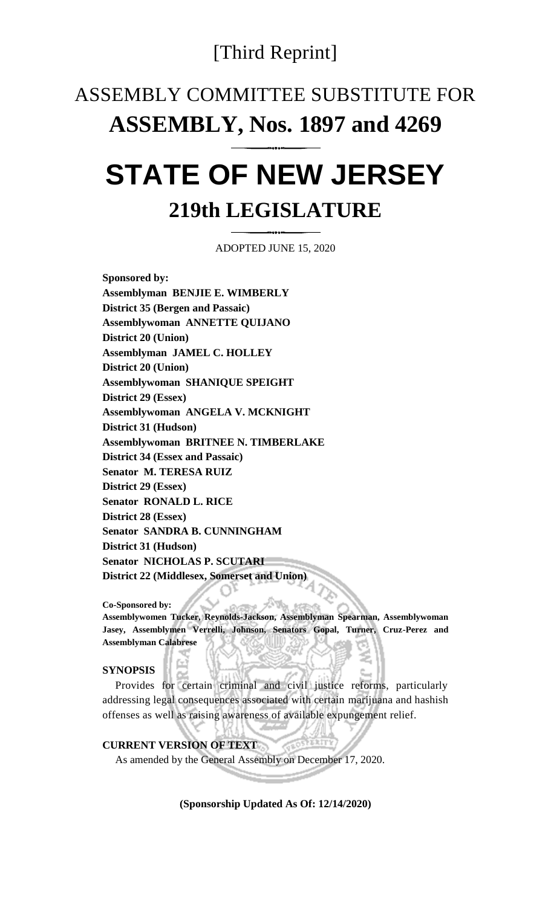## [Third Reprint]

## ASSEMBLY COMMITTEE SUBSTITUTE FOR **ASSEMBLY, Nos. 1897 and 4269**

------··,------

# **STATE OF NEW JERSEY 219th LEGISLATURE**

ADOPTED JUNE 15, 2020 ------··,------

**Sponsored by: Assemblyman BENJIE E. WIMBERLY District 35 (Bergen and Passaic) Assemblywoman ANNETTE QUIJANO District 20 (Union) Assemblyman JAMEL C. HOLLEY District 20 (Union) Assemblywoman SHANIQUE SPEIGHT District 29 (Essex) Assemblywoman ANGELA V. MCKNIGHT District 31 (Hudson) Assemblywoman BRITNEE N. TIMBERLAKE District 34 (Essex and Passaic) Senator M. TERESA RUIZ District 29 (Essex) Senator RONALD L. RICE District 28 (Essex) Senator SANDRA B. CUNNINGHAM District 31 (Hudson) Senator NICHOLAS P. SCUTARI District 22 (Middlesex, Somerset and Union)**

**Co-Sponsored by: Assemblywomen Tucker, Reynolds-Jackson, Assemblyman Spearman, Assemblywoman Jasey, Assemblymen Verrelli, Johnson, Senators Gopal, Turner, Cruz-Perez and Assemblyman Calabrese**

#### **SYNOPSIS**

Provides for certain criminal and civil justice reforms, particularly addressing legal consequences associated with certain marijuana and hashish offenses as well as raising awareness of available expungement relief.

#### **CURRENT VERSION OF TEXT**

As amended by the General Assembly on December 17, 2020.

**(Sponsorship Updated As Of: 12/14/2020)**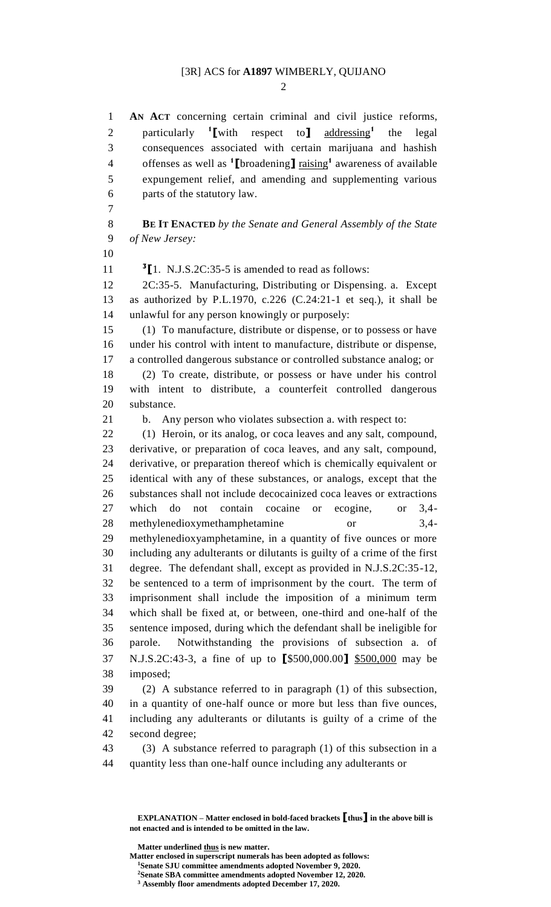$\mathcal{D}$ 

 **AN ACT** concerning certain criminal and civil justice reforms, particularly **<sup>1</sup>** 2 particularly <sup>1</sup>[with respect to] addressing<sup>1</sup> the legal consequences associated with certain marijuana and hashish offenses as well as **<sup>1</sup> [**broadening**]** raising**<sup>1</sup>** awareness of available expungement relief, and amending and supplementing various parts of the statutory law. **BE IT ENACTED** *by the Senate and General Assembly of the State of New Jersey:*  $\textbf{J}_{\text{I}}$ . N.J.S.2C:35-5 is amended to read as follows: 2C:35-5. Manufacturing, Distributing or Dispensing. a. Except as authorized by P.L.1970, c.226 (C.24:21-1 et seq.), it shall be unlawful for any person knowingly or purposely: (1) To manufacture, distribute or dispense, or to possess or have under his control with intent to manufacture, distribute or dispense, a controlled dangerous substance or controlled substance analog; or (2) To create, distribute, or possess or have under his control with intent to distribute, a counterfeit controlled dangerous substance. b. Any person who violates subsection a. with respect to: (1) Heroin, or its analog, or coca leaves and any salt, compound, derivative, or preparation of coca leaves, and any salt, compound, derivative, or preparation thereof which is chemically equivalent or identical with any of these substances, or analogs, except that the substances shall not include decocainized coca leaves or extractions which do not contain cocaine or ecogine, or 3,4- 28 methylenedioxymethamphetamine or 3,4- methylenedioxyamphetamine, in a quantity of five ounces or more including any adulterants or dilutants is guilty of a crime of the first degree. The defendant shall, except as provided in N.J.S.2C:35-12, be sentenced to a term of imprisonment by the court. The term of

 imprisonment shall include the imposition of a minimum term which shall be fixed at, or between, one-third and one-half of the sentence imposed, during which the defendant shall be ineligible for parole. Notwithstanding the provisions of subsection a. of N.J.S.2C:43-3, a fine of up to **[**\$500,000.00**]** \$500,000 may be imposed;

 (2) A substance referred to in paragraph (1) of this subsection, in a quantity of one-half ounce or more but less than five ounces, including any adulterants or dilutants is guilty of a crime of the second degree;

 (3) A substance referred to paragraph (1) of this subsection in a quantity less than one-half ounce including any adulterants or

**EXPLANATION – Matter enclosed in bold-faced brackets [thus] in the above bill is not enacted and is intended to be omitted in the law.**

**Matter underlined thus is new matter.**

**Matter enclosed in superscript numerals has been adopted as follows:**

**Senate SJU committee amendments adopted November 9, 2020.**

**Senate SBA committee amendments adopted November 12, 2020.**

**Assembly floor amendments adopted December 17, 2020.**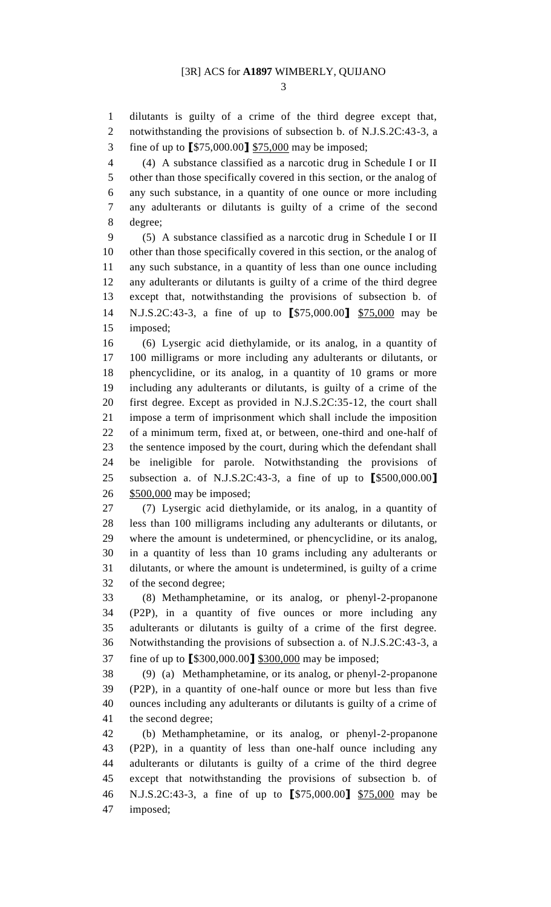dilutants is guilty of a crime of the third degree except that, notwithstanding the provisions of subsection b. of N.J.S.2C:43-3, a

fine of up to **[**\$75,000.00**]** \$75,000 may be imposed;

 (4) A substance classified as a narcotic drug in Schedule I or II other than those specifically covered in this section, or the analog of any such substance, in a quantity of one ounce or more including any adulterants or dilutants is guilty of a crime of the second degree;

 (5) A substance classified as a narcotic drug in Schedule I or II other than those specifically covered in this section, or the analog of any such substance, in a quantity of less than one ounce including any adulterants or dilutants is guilty of a crime of the third degree except that, notwithstanding the provisions of subsection b. of N.J.S.2C:43-3, a fine of up to **[**\$75,000.00**]** \$75,000 may be imposed;

 (6) Lysergic acid diethylamide, or its analog, in a quantity of 100 milligrams or more including any adulterants or dilutants, or phencyclidine, or its analog, in a quantity of 10 grams or more including any adulterants or dilutants, is guilty of a crime of the first degree. Except as provided in N.J.S.2C:35-12, the court shall impose a term of imprisonment which shall include the imposition of a minimum term, fixed at, or between, one-third and one-half of the sentence imposed by the court, during which the defendant shall be ineligible for parole. Notwithstanding the provisions of subsection a. of N.J.S.2C:43-3, a fine of up to **[**\$500,000.00**]** \$500,000 may be imposed;

 (7) Lysergic acid diethylamide, or its analog, in a quantity of less than 100 milligrams including any adulterants or dilutants, or where the amount is undetermined, or phencyclidine, or its analog, in a quantity of less than 10 grams including any adulterants or dilutants, or where the amount is undetermined, is guilty of a crime of the second degree;

 (8) Methamphetamine, or its analog, or phenyl-2-propanone (P2P), in a quantity of five ounces or more including any adulterants or dilutants is guilty of a crime of the first degree. Notwithstanding the provisions of subsection a. of N.J.S.2C:43-3, a fine of up to **[**\$300,000.00**]** \$300,000 may be imposed;

 (9) (a) Methamphetamine, or its analog, or phenyl-2-propanone (P2P), in a quantity of one-half ounce or more but less than five ounces including any adulterants or dilutants is guilty of a crime of the second degree;

 (b) Methamphetamine, or its analog, or phenyl-2-propanone (P2P), in a quantity of less than one-half ounce including any adulterants or dilutants is guilty of a crime of the third degree except that notwithstanding the provisions of subsection b. of N.J.S.2C:43-3, a fine of up to **[**\$75,000.00**]** \$75,000 may be imposed;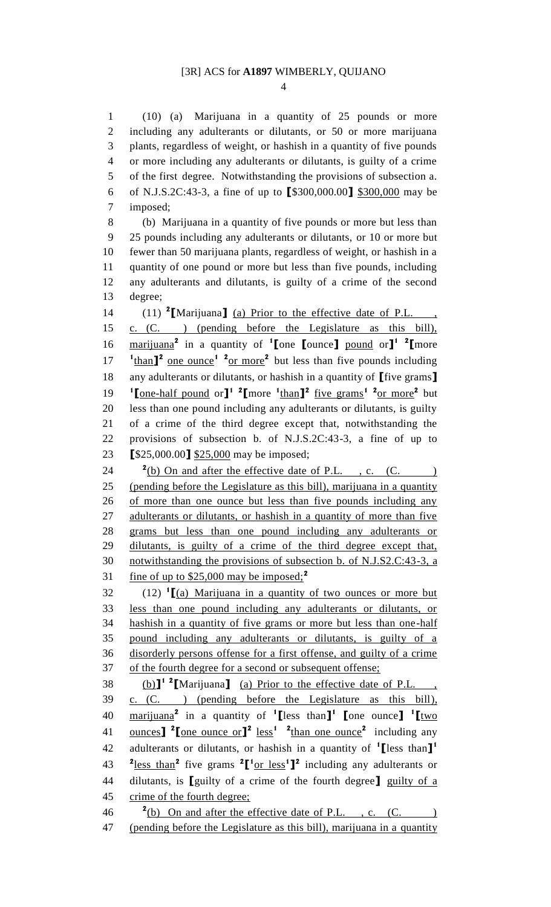(10) (a) Marijuana in a quantity of 25 pounds or more including any adulterants or dilutants, or 50 or more marijuana plants, regardless of weight, or hashish in a quantity of five pounds or more including any adulterants or dilutants, is guilty of a crime of the first degree. Notwithstanding the provisions of subsection a. of N.J.S.2C:43-3, a fine of up to **[**\$300,000.00**]** \$300,000 may be imposed;

 (b) Marijuana in a quantity of five pounds or more but less than 25 pounds including any adulterants or dilutants, or 10 or more but fewer than 50 marijuana plants, regardless of weight, or hashish in a quantity of one pound or more but less than five pounds, including any adulterants and dilutants, is guilty of a crime of the second degree;

(11) **<sup>2</sup> [**Marijuana**]** (a) Prior to the effective date of P.L. , c. (C. ) (pending before the Legislature as this bill), marijuana**<sup>2</sup>** in a quantity of **<sup>1</sup> [**one **[**ounce**]** pound or**] 1 2 [**more  $\frac{1 \text{ than } \mathbf{I}^2}{2}$  one ounce<sup>1</sup>  $\frac{2 \text{ or more}}{2}$  but less than five pounds including any adulterants or dilutants, or hashish in a quantity of **[**five grams**] 1 [**one-half pound or **]<sup>1</sup> <sup>2</sup> [**more  $\frac{1 + \text{than}}{2}$  ive grams<sup>1</sup>  $\frac{2\text{ or more}}{2}$  but less than one pound including any adulterants or dilutants, is guilty of a crime of the third degree except that, notwithstanding the provisions of subsection b. of N.J.S.2C:43-3, a fine of up to **[**\$25,000.00**]** \$25,000 may be imposed;

 $\frac{2}{b}$  On and after the effective date of P.L., c. (C. ) (pending before the Legislature as this bill), marijuana in a quantity of more than one ounce but less than five pounds including any adulterants or dilutants, or hashish in a quantity of more than five grams but less than one pound including any adulterants or dilutants, is guilty of a crime of the third degree except that, notwithstanding the provisions of subsection b. of N.J.S2.C:43-3, a fine of up to \$25,000 may be imposed;**<sup>2</sup>** 

 $(12)$   $\textbf{1}$   $\textbf{I}$ (a) Marijuana in a quantity of two ounces or more but less than one pound including any adulterants or dilutants, or hashish in a quantity of five grams or more but less than one-half pound including any adulterants or dilutants, is guilty of a disorderly persons offense for a first offense, and guilty of a crime of the fourth degree for a second or subsequent offense;

(b)**] 1 2 [**Marijuana**]** (a) Prior to the effective date of P.L. , c. (C. ) (pending before the Legislature as this bill), marijuana**<sup>2</sup>** in a quantity of **<sup>1</sup> [**less than**] 1 [**one ounce**] 1 [**two 41 ounces  $\int^2$   $\text{I}$  one ounce or  $\int^2$   $\text{less}^1$   $\int^2$  than one ounce<sup>2</sup> including any adulterants or dilutants, or hashish in a quantity of **<sup>1</sup> [**less than**] 1** 43  $\frac{2}{{\text{less than}}^2}$  five grams  $\frac{2}{\pi}$  or less<sup>1</sup> $\frac{1}{2}$  including any adulterants or dilutants, is **[**guilty of a crime of the fourth degree**]** guilty of a crime of the fourth degree;

46  $\frac{2}{b}$  On and after the effective date of P.L., c. (C. ) (pending before the Legislature as this bill), marijuana in a quantity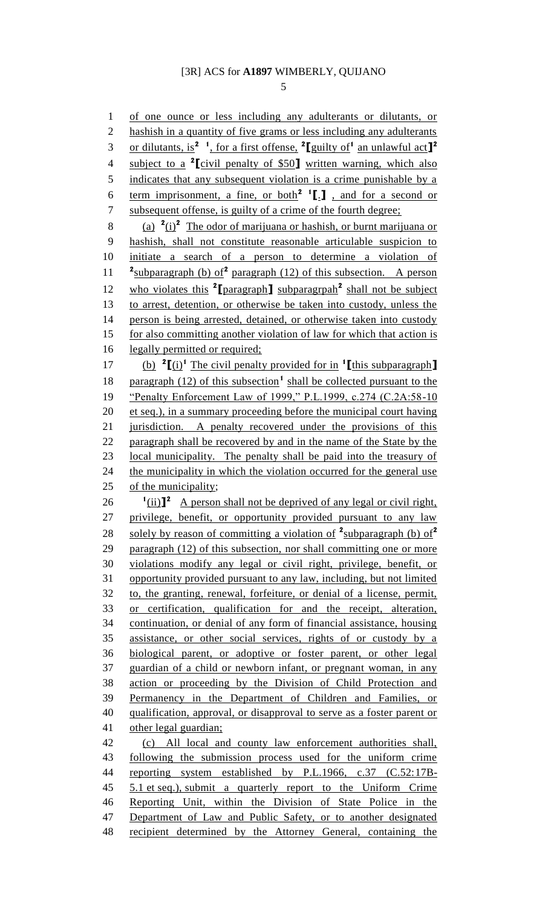of one ounce or less including any adulterants or dilutants, or 2 hashish in a quantity of five grams or less including any adulterants or dilutants, is**<sup>2</sup> <sup>1</sup>** , for a first offense, **<sup>2</sup> [**guilty of**<sup>1</sup>** an unlawful act**] 2** subject to a **<sup>2</sup> [**civil penalty of \$50**]** written warning, which also 5 indicates that any subsequent violation is a crime punishable by a term imprisonment, a fine, or both**<sup>2</sup> <sup>1</sup> [**.**]** , and for a second or subsequent offense, is guilty of a crime of the fourth degree; 8 (a)  $2(i)^2$  The odor of marijuana or hashish, or burnt marijuana or hashish, shall not constitute reasonable articulable suspicion to initiate a search of a person to determine a violation of 11 <sup>2</sup> subparagraph (b) of<sup>2</sup> paragraph (12) of this subsection. A person 12 who violates this <sup>2</sup>[paragraph] subparagrpah<sup>2</sup> shall not be subject to arrest, detention, or otherwise be taken into custody, unless the person is being arrested, detained, or otherwise taken into custody 15 for also committing another violation of law for which that action is 16 legally permitted or required; 17 (b)  ${}^{2}$   $\left[\text{(i)}\right]$ <sup>1</sup> The civil penalty provided for in <sup>1</sup>  $\left[\text{(this subparagnh)}\right]$ 18 paragraph (12) of this subsection<sup>1</sup> shall be collected pursuant to the "Penalty Enforcement Law of 1999," P.L.1999, c.274 (C.2A:58-10 et seq.), in a summary proceeding before the municipal court having jurisdiction. A penalty recovered under the provisions of this 22 paragraph shall be recovered by and in the name of the State by the local municipality. The penalty shall be paid into the treasury of 24 the municipality in which the violation occurred for the general use 25 of the municipality;  $\frac{1}{\text{(ii)}}$ <sup>2</sup> A person shall not be deprived of any legal or civil right, privilege, benefit, or opportunity provided pursuant to any law solely by reason of committing a violation of **<sup>2</sup>** subparagraph (b) of**<sup>2</sup>** paragraph (12) of this subsection, nor shall committing one or more violations modify any legal or civil right, privilege, benefit, or opportunity provided pursuant to any law, including, but not limited to, the granting, renewal, forfeiture, or denial of a license, permit, or certification, qualification for and the receipt, alteration, continuation, or denial of any form of financial assistance, housing assistance, or other social services, rights of or custody by a biological parent, or adoptive or foster parent, or other legal guardian of a child or newborn infant, or pregnant woman, in any action or proceeding by the Division of Child Protection and Permanency in the Department of Children and Families, or qualification, approval, or disapproval to serve as a foster parent or other legal guardian; (c) All local and county law enforcement authorities shall, following the submission process used for the uniform crime reporting system established by P.L.1966, c.37 (C.52:17B- 5.1 et seq.), submit a quarterly report to the Uniform Crime Reporting Unit, within the Division of State Police in the Department of Law and Public Safety, or to another designated recipient determined by the Attorney General, containing the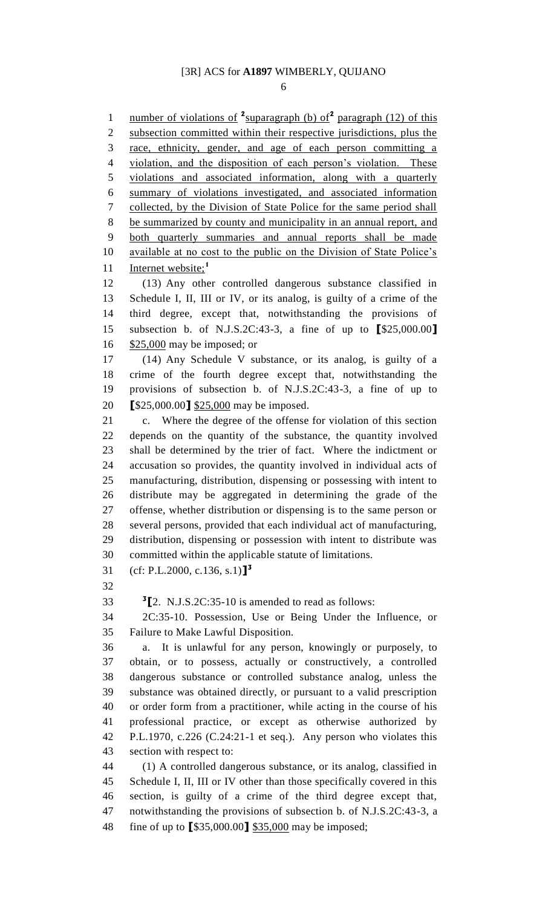1 number of violations of <sup>2</sup> suparagraph (b) of <sup>2</sup> paragraph (12) of this 2 subsection committed within their respective jurisdictions, plus the race, ethnicity, gender, and age of each person committing a violation, and the disposition of each person's violation. These violations and associated information, along with a quarterly summary of violations investigated, and associated information collected, by the Division of State Police for the same period shall be summarized by county and municipality in an annual report, and both quarterly summaries and annual reports shall be made available at no cost to the public on the Division of State Police's Internet website;**<sup>1</sup>** (13) Any other controlled dangerous substance classified in Schedule I, II, III or IV, or its analog, is guilty of a crime of the third degree, except that, notwithstanding the provisions of subsection b. of N.J.S.2C:43-3, a fine of up to **[**\$25,000.00**]** \$25,000 may be imposed; or (14) Any Schedule V substance, or its analog, is guilty of a crime of the fourth degree except that, notwithstanding the provisions of subsection b. of N.J.S.2C:43-3, a fine of up to **[**\$25,000.00**]** \$25,000 may be imposed. c. Where the degree of the offense for violation of this section depends on the quantity of the substance, the quantity involved shall be determined by the trier of fact. Where the indictment or accusation so provides, the quantity involved in individual acts of manufacturing, distribution, dispensing or possessing with intent to distribute may be aggregated in determining the grade of the offense, whether distribution or dispensing is to the same person or several persons, provided that each individual act of manufacturing, distribution, dispensing or possession with intent to distribute was committed within the applicable statute of limitations. (cf: P.L.2000, c.136, s.1)**] 3**  $33 \quad \text{J}_2$ . N.J.S.2C:35-10 is amended to read as follows: 2C:35-10. Possession, Use or Being Under the Influence, or Failure to Make Lawful Disposition. a. It is unlawful for any person, knowingly or purposely, to obtain, or to possess, actually or constructively, a controlled dangerous substance or controlled substance analog, unless the substance was obtained directly, or pursuant to a valid prescription or order form from a practitioner, while acting in the course of his professional practice, or except as otherwise authorized by P.L.1970, c.226 (C.24:21-1 et seq.). Any person who violates this section with respect to: (1) A controlled dangerous substance, or its analog, classified in Schedule I, II, III or IV other than those specifically covered in this section, is guilty of a crime of the third degree except that, notwithstanding the provisions of subsection b. of N.J.S.2C:43-3, a

fine of up to **[**\$35,000.00**]** \$35,000 may be imposed;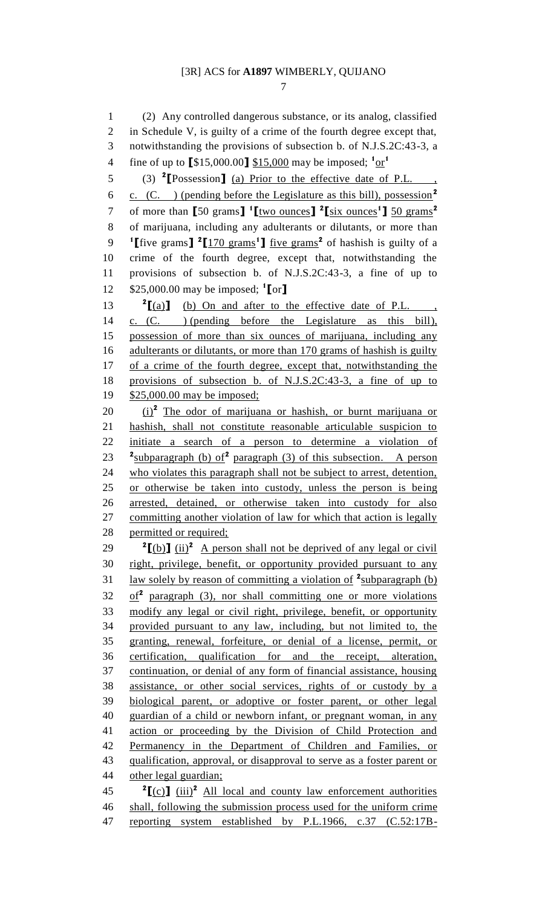(2) Any controlled dangerous substance, or its analog, classified in Schedule V, is guilty of a crime of the fourth degree except that, notwithstanding the provisions of subsection b. of N.J.S.2C:43-3, a fine of up to  $[\$15,000.00]$   $\frac{$15,000}{10}$  may be imposed;  $\frac{10r}{10}$  (3) **<sup>2</sup> [**Possession**]** (a) Prior to the effective date of P.L. , c. (C. ) (pending before the Legislature as this bill), possession**<sup>2</sup>** of more than **[**50 grams**] 1 [**two ounces**] 2 [**six ounces**<sup>1</sup> ]** 50 grams**<sup>2</sup>** of marijuana, including any adulterants or dilutants, or more than **[**five grams**] 2 [**170 grams**<sup>1</sup> ]** five grams**<sup>2</sup>** of hashish is guilty of a crime of the fourth degree, except that, notwithstanding the provisions of subsection b. of N.J.S.2C:43-3, a fine of up to \$25,000.00 may be imposed; **<sup>1</sup> [**or**]**  $^{2}$ [(a)]  ${}^{2}$  $[(a)$   $]$  (b) On and after to the effective date of P.L. c. (C. ) (pending before the Legislature as this bill), possession of more than six ounces of marijuana, including any 16 adulterants or dilutants, or more than 170 grams of hashish is guilty of a crime of the fourth degree, except that, notwithstanding the provisions of subsection b. of N.J.S.2C:43-3, a fine of up to 19 \$25,000.00 may be imposed;  $(i)^2$  The odor of marijuana or hashish, or burnt marijuana or hashish, shall not constitute reasonable articulable suspicion to initiate a search of a person to determine a violation of 23 <sup>2</sup> subparagraph (b) of<sup>2</sup> paragraph (3) of this subsection. A person who violates this paragraph shall not be subject to arrest, detention, or otherwise be taken into custody, unless the person is being arrested, detained, or otherwise taken into custody for also committing another violation of law for which that action is legally 28 permitted or required;  $\frac{2}{\ln 2}$   $\frac{1}{\ln 2}$  A person shall not be deprived of any legal or civil right, privilege, benefit, or opportunity provided pursuant to any 31 law solely by reason of committing a violation of <sup>2</sup> subparagraph (b)  $32 \quad \text{of}^2$  paragraph (3), nor shall committing one or more violations modify any legal or civil right, privilege, benefit, or opportunity provided pursuant to any law, including, but not limited to, the granting, renewal, forfeiture, or denial of a license, permit, or certification, qualification for and the receipt, alteration, continuation, or denial of any form of financial assistance, housing assistance, or other social services, rights of or custody by a biological parent, or adoptive or foster parent, or other legal guardian of a child or newborn infant, or pregnant woman, in any action or proceeding by the Division of Child Protection and Permanency in the Department of Children and Families, or qualification, approval, or disapproval to serve as a foster parent or other legal guardian;  $2\text{C}$   $\text{C}$   $\text{I}$  (iii)<sup>2</sup> All local and county law enforcement authorities shall, following the submission process used for the uniform crime reporting system established by P.L.1966, c.37 (C.52:17B-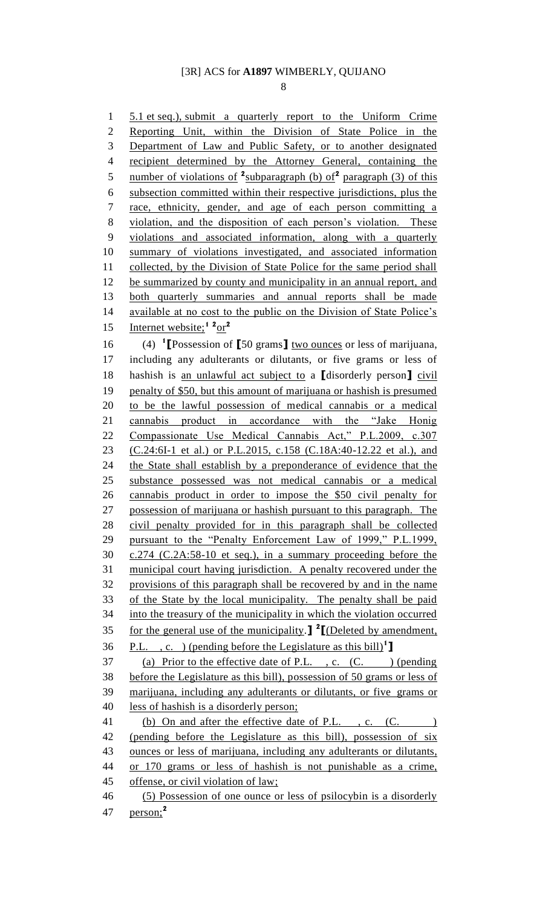1 5.1 et seq.), submit a quarterly report to the Uniform Crime Reporting Unit, within the Division of State Police in the 3 Department of Law and Public Safety, or to another designated recipient determined by the Attorney General, containing the 5 number of violations of <sup>2</sup> subparagraph (b) of <sup>2</sup> paragraph (3) of this subsection committed within their respective jurisdictions, plus the race, ethnicity, gender, and age of each person committing a violation, and the disposition of each person's violation. These violations and associated information, along with a quarterly summary of violations investigated, and associated information 11 collected, by the Division of State Police for the same period shall 12 be summarized by county and municipality in an annual report, and both quarterly summaries and annual reports shall be made 14 available at no cost to the public on the Division of State Police's Internet website;**<sup>1</sup> <sup>2</sup>** or**<sup>2</sup>** (4) **<sup>1</sup> [**Possession of **[**50 grams**]** two ounces or less of marijuana, including any adulterants or dilutants, or five grams or less of hashish is an unlawful act subject to a **[**disorderly person**]** civil penalty of \$50, but this amount of marijuana or hashish is presumed to be the lawful possession of medical cannabis or a medical cannabis product in accordance with the "Jake Honig Compassionate Use Medical Cannabis Act," P.L.2009, c.307 (C.24:6I-1 et al.) or P.L.2015, c.158 (C.18A:40-12.22 et al.), and 24 the State shall establish by a preponderance of evidence that the substance possessed was not medical cannabis or a medical cannabis product in order to impose the \$50 civil penalty for possession of marijuana or hashish pursuant to this paragraph. The civil penalty provided for in this paragraph shall be collected pursuant to the "Penalty Enforcement Law of 1999," P.L.1999, c.274 (C.2A:58-10 et seq.), in a summary proceeding before the municipal court having jurisdiction. A penalty recovered under the provisions of this paragraph shall be recovered by and in the name of the State by the local municipality. The penalty shall be paid into the treasury of the municipality in which the violation occurred for the general use of the municipality.**] 2 [**(Deleted by amendment, 36 P.L., c. (pending before the Legislature as this bill)<sup>1</sup> 37 (a) Prior to the effective date of P.L. , c. (C. ) (pending before the Legislature as this bill), possession of 50 grams or less of marijuana, including any adulterants or dilutants, or five grams or less of hashish is a disorderly person; 41 (b) On and after the effective date of P.L., c. (C. ) (pending before the Legislature as this bill), possession of six ounces or less of marijuana, including any adulterants or dilutants, or 170 grams or less of hashish is not punishable as a crime, offense, or civil violation of law; (5) Possession of one ounce or less of psilocybin is a disorderly 47 <u>person;</u><sup>2</sup>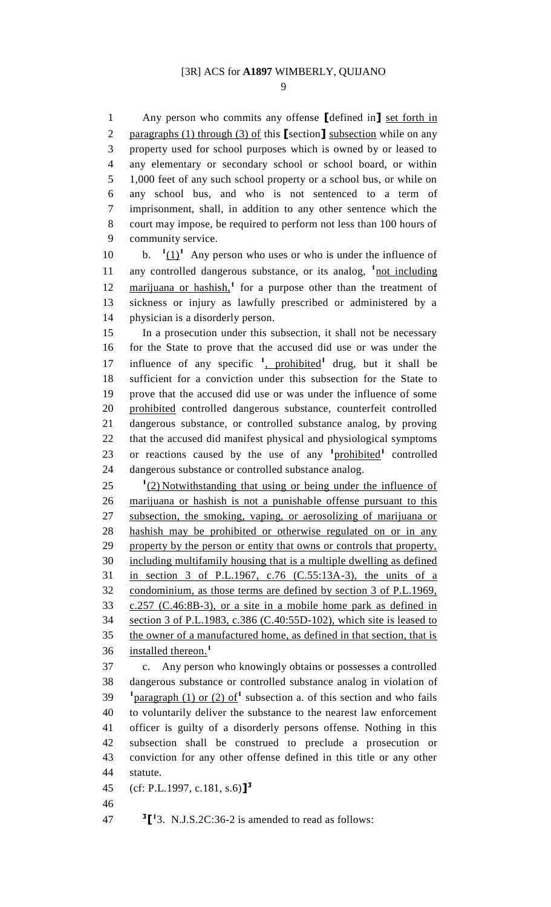Any person who commits any offense **[**defined in**]** set forth in 2 paragraphs (1) through (3) of this **[**section**]** subsection while on any property used for school purposes which is owned by or leased to any elementary or secondary school or school board, or within 1,000 feet of any such school property or a school bus, or while on any school bus, and who is not sentenced to a term of imprisonment, shall, in addition to any other sentence which the court may impose, be required to perform not less than 100 hours of community service.

10 b.  $1\left(1\right)^1$  Any person who uses or who is under the influence of 11 any controlled dangerous substance, or its analog, <sup>1</sup>not including 12 marijuana or hashish,<sup>1</sup> for a purpose other than the treatment of sickness or injury as lawfully prescribed or administered by a physician is a disorderly person.

 In a prosecution under this subsection, it shall not be necessary for the State to prove that the accused did use or was under the 17 influence of any specific <sup>1</sup>, prohibited<sup>1</sup> drug, but it shall be sufficient for a conviction under this subsection for the State to prove that the accused did use or was under the influence of some prohibited controlled dangerous substance, counterfeit controlled dangerous substance, or controlled substance analog, by proving that the accused did manifest physical and physiological symptoms 23 or reactions caused by the use of any <sup>1</sup>prohibited<sup>1</sup> controlled dangerous substance or controlled substance analog.

 $\frac{1}{2}$  Notwithstanding that using or being under the influence of marijuana or hashish is not a punishable offense pursuant to this subsection, the smoking, vaping, or aerosolizing of marijuana or hashish may be prohibited or otherwise regulated on or in any property by the person or entity that owns or controls that property, including multifamily housing that is a multiple dwelling as defined in section 3 of P.L.1967, c.76 (C.55:13A-3), the units of a condominium, as those terms are defined by section 3 of P.L.1969, c.257 (C.46:8B-3), or a site in a mobile home park as defined in section 3 of P.L.1983, c.386 (C.40:55D-102), which site is leased to 35 the owner of a manufactured home, as defined in that section, that is installed thereon.**<sup>1</sup>** 

 c. Any person who knowingly obtains or possesses a controlled dangerous substance or controlled substance analog in violation of  $1<sup>1</sup>$  paragraph (1) or (2) of<sup>1</sup> subsection a. of this section and who fails to voluntarily deliver the substance to the nearest law enforcement officer is guilty of a disorderly persons offense. Nothing in this subsection shall be construed to preclude a prosecution or conviction for any other offense defined in this title or any other statute.

(cf: P.L.1997, c.181, s.6)**] 3** 

 $\mathbf{3}$   $\mathbf{1}^1$  3. N.J.S.2C:36-2 is amended to read as follows: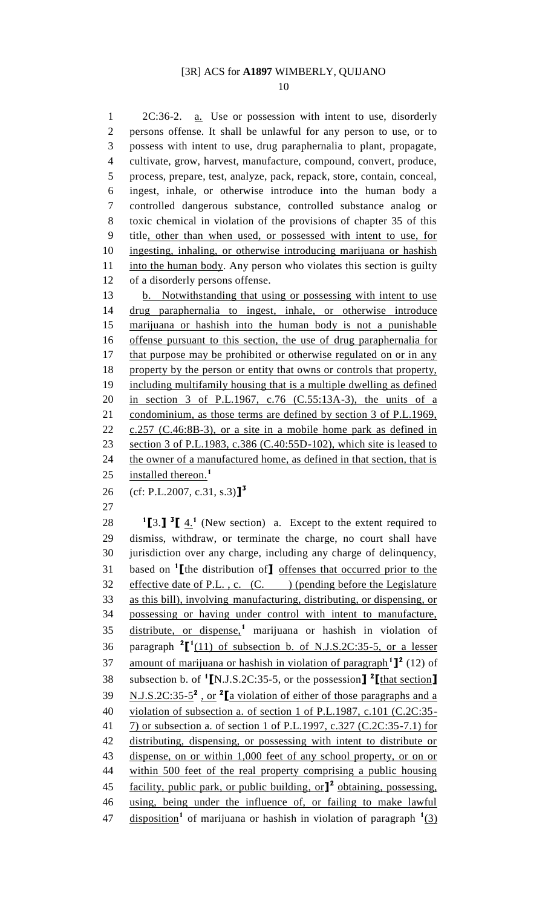2C:36-2. a. Use or possession with intent to use, disorderly persons offense. It shall be unlawful for any person to use, or to possess with intent to use, drug paraphernalia to plant, propagate, cultivate, grow, harvest, manufacture, compound, convert, produce, process, prepare, test, analyze, pack, repack, store, contain, conceal, ingest, inhale, or otherwise introduce into the human body a controlled dangerous substance, controlled substance analog or toxic chemical in violation of the provisions of chapter 35 of this title, other than when used, or possessed with intent to use, for ingesting, inhaling, or otherwise introducing marijuana or hashish 11 into the human body. Any person who violates this section is guilty of a disorderly persons offense. 13 b. Notwithstanding that using or possessing with intent to use drug paraphernalia to ingest, inhale, or otherwise introduce marijuana or hashish into the human body is not a punishable offense pursuant to this section, the use of drug paraphernalia for 17 that purpose may be prohibited or otherwise regulated on or in any property by the person or entity that owns or controls that property, including multifamily housing that is a multiple dwelling as defined in section 3 of P.L.1967, c.76 (C.55:13A-3), the units of a 21 condominium, as those terms are defined by section 3 of P.L.1969, c.257 (C.46:8B-3), or a site in a mobile home park as defined in section 3 of P.L.1983, c.386 (C.40:55D-102), which site is leased to 24 the owner of a manufactured home, as defined in that section, that is installed thereon.**<sup>1</sup>** (cf: P.L.2007, c.31, s.3)**] 3 [**3.**]** <sup>3</sup> **[**  $\pm$ <sup>1</sup> (New section) a. Except to the extent required to dismiss, withdraw, or terminate the charge, no court shall have jurisdiction over any charge, including any charge of delinquency, based on **<sup>1</sup> [**the distribution of**]** offenses that occurred prior to the 32 effective date of P.L., c.  $(C.$  ) (pending before the Legislature as this bill), involving manufacturing, distributing, or dispensing, or possessing or having under control with intent to manufacture, 35 distribute, or dispense,<sup>1</sup> marijuana or hashish in violation of 36 paragraph  $2[\text{1}(11)$  of subsection b. of N.J.S.2C:35-5, or a lesser 37 amount of marijuana or hashish in violation of paragraph<sup>1</sup><sup>1</sup> (12) of subsection b. of **<sup>1</sup> [**N.J.S.2C:35-5, or the possession**] 2 [**that section**] N.J.S.2C:35-5<sup>2</sup>**, or <sup>2</sup> [a violation of either of those paragraphs and a violation of subsection a. of section 1 of P.L.1987, c.101 (C.2C:35- 7) or subsection a. of section 1 of P.L.1997, c.327 (C.2C:35-7.1) for distributing, dispensing, or possessing with intent to distribute or dispense, on or within 1,000 feet of any school property, or on or within 500 feet of the real property comprising a public housing 45 facility, public park, or public building, or  $\mathbf{l}^2$  obtaining, possessing, using, being under the influence of, or failing to make lawful

47 disposition<sup>1</sup> of marijuana or hashish in violation of paragraph <sup>1</sup>(3)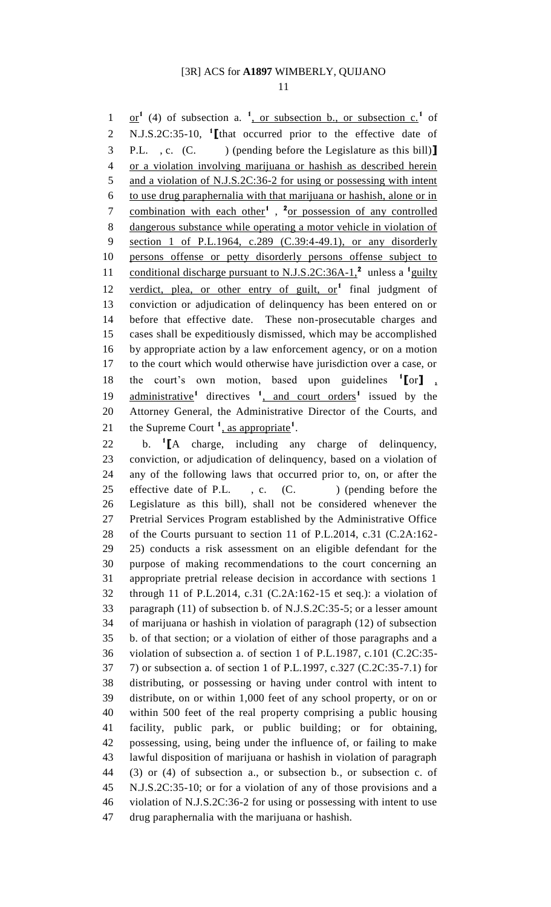1 or  $\alpha$ <sup>1</sup> (4) of subsection a. <sup>1</sup>, or subsection b., or subsection c.<sup>1</sup> of N.J.S.2C:35-10, **<sup>1</sup> [**that occurred prior to the effective date of P.L. , c. (C. ) (pending before the Legislature as this bill)**]** or a violation involving marijuana or hashish as described herein and a violation of N.J.S.2C:36-2 for using or possessing with intent to use drug paraphernalia with that marijuana or hashish, alone or in 7 combination with each other<sup>1</sup>, <sup>2</sup><sub>or</sub> possession of any controlled dangerous substance while operating a motor vehicle in violation of section 1 of P.L.1964, c.289 (C.39:4-49.1), or any disorderly persons offense or petty disorderly persons offense subject to 11 conditional discharge pursuant to N.J.S.2C:36A-1,<sup>2</sup> unless a <sup>1</sup> guilty 12 verdict, plea, or other entry of guilt, or<sup>1</sup> final judgment of conviction or adjudication of delinquency has been entered on or before that effective date. These non-prosecutable charges and cases shall be expeditiously dismissed, which may be accomplished by appropriate action by a law enforcement agency, or on a motion to the court which would otherwise have jurisdiction over a case, or the court's own motion, based upon guidelines **<sup>1</sup> [**or**]** , 19 administrative<sup>1</sup> directives <sup>1</sup>, and court orders<sup>1</sup> issued by the Attorney General, the Administrative Director of the Courts, and 21 the Supreme Court <sup>1</sup>, as appropriate<sup>1</sup>.

b. **<sup>1</sup>** 22 b. <sup>1</sup>[A charge, including any charge of delinquency, conviction, or adjudication of delinquency, based on a violation of any of the following laws that occurred prior to, on, or after the 25 effective date of P.L., c. (C. ) (pending before the Legislature as this bill), shall not be considered whenever the Pretrial Services Program established by the Administrative Office of the Courts pursuant to section 11 of P.L.2014, c.31 (C.2A:162- 25) conducts a risk assessment on an eligible defendant for the purpose of making recommendations to the court concerning an appropriate pretrial release decision in accordance with sections 1 through 11 of P.L.2014, c.31 (C.2A:162-15 et seq.): a violation of paragraph (11) of subsection b. of N.J.S.2C:35-5; or a lesser amount of marijuana or hashish in violation of paragraph (12) of subsection b. of that section; or a violation of either of those paragraphs and a violation of subsection a. of section 1 of P.L.1987, c.101 (C.2C:35- 7) or subsection a. of section 1 of P.L.1997, c.327 (C.2C:35-7.1) for distributing, or possessing or having under control with intent to distribute, on or within 1,000 feet of any school property, or on or within 500 feet of the real property comprising a public housing facility, public park, or public building; or for obtaining, possessing, using, being under the influence of, or failing to make lawful disposition of marijuana or hashish in violation of paragraph (3) or (4) of subsection a., or subsection b., or subsection c. of N.J.S.2C:35-10; or for a violation of any of those provisions and a violation of N.J.S.2C:36-2 for using or possessing with intent to use drug paraphernalia with the marijuana or hashish.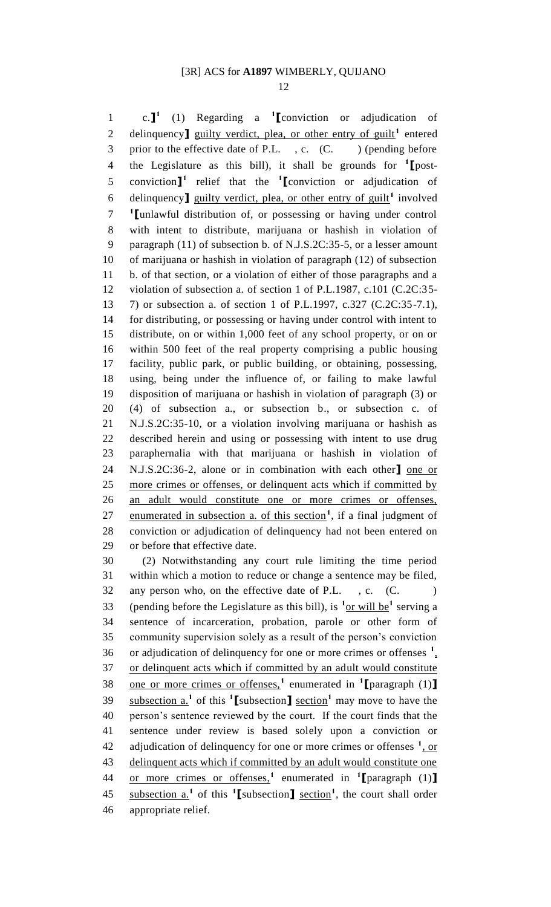c.**] 1** (1) Regarding a **<sup>1</sup> [**conviction or adjudication of 2 delinquency**]** guilty verdict, plea, or other entry of guilt<sup>1</sup> entered 3 prior to the effective date of P.L., c. (C. ) (pending before the Legislature as this bill), it shall be grounds for **<sup>1</sup> [**post-5 conviction<sup>1</sup> relief that the <sup>1</sup> [conviction or adjudication of 6 delinquency<sup>]</sup> guilty verdict, plea, or other entry of guilt<sup>1</sup> involved **[**unlawful distribution of, or possessing or having under control with intent to distribute, marijuana or hashish in violation of paragraph (11) of subsection b. of N.J.S.2C:35-5, or a lesser amount of marijuana or hashish in violation of paragraph (12) of subsection b. of that section, or a violation of either of those paragraphs and a violation of subsection a. of section 1 of P.L.1987, c.101 (C.2C:35- 7) or subsection a. of section 1 of P.L.1997, c.327 (C.2C:35-7.1), for distributing, or possessing or having under control with intent to distribute, on or within 1,000 feet of any school property, or on or within 500 feet of the real property comprising a public housing facility, public park, or public building, or obtaining, possessing, using, being under the influence of, or failing to make lawful disposition of marijuana or hashish in violation of paragraph (3) or (4) of subsection a., or subsection b., or subsection c. of N.J.S.2C:35-10, or a violation involving marijuana or hashish as described herein and using or possessing with intent to use drug paraphernalia with that marijuana or hashish in violation of N.J.S.2C:36-2, alone or in combination with each other**]** one or 25 more crimes or offenses, or delinquent acts which if committed by an adult would constitute one or more crimes or offenses, 27 enumerated in subsection a. of this section<sup>1</sup>, if a final judgment of conviction or adjudication of delinquency had not been entered on or before that effective date.

 (2) Notwithstanding any court rule limiting the time period within which a motion to reduce or change a sentence may be filed, 32 any person who, on the effective date of P.L., c. (C. ) 33 (pending before the Legislature as this bill), is  $\frac{1}{\alpha}$  or will be<sup>1</sup> serving a sentence of incarceration, probation, parole or other form of community supervision solely as a result of the person's conviction 36 or adjudication of delinquency for one or more crimes or offenses  $\frac{1}{2}$  or delinquent acts which if committed by an adult would constitute one or more crimes or offenses,**<sup>1</sup>** enumerated in **<sup>1</sup> [**paragraph (1)**]** 39 subsection  $a^{-1}$  of this **1** [subsection] section<sup>1</sup> may move to have the person's sentence reviewed by the court. If the court finds that the sentence under review is based solely upon a conviction or 42 adjudication of delinquency for one or more crimes or offenses  $\frac{1}{2}$ , or delinquent acts which if committed by an adult would constitute one or more crimes or offenses,**<sup>1</sup>** enumerated in **<sup>1</sup> [**paragraph (1)**]** 45 subsection a.<sup>1</sup> of this <sup>1</sup>[subsection] section<sup>1</sup>, the court shall order appropriate relief.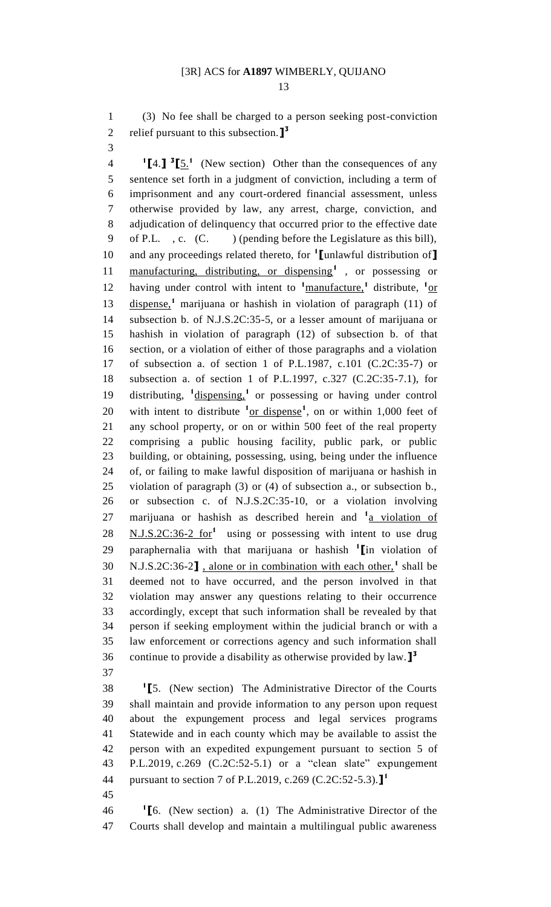(3) No fee shall be charged to a person seeking post-conviction relief pursuant to this subsection.**] 3** 

 **[**4.**] 3 [**5.**<sup>1</sup>** 4 (New section) Other than the consequences of any sentence set forth in a judgment of conviction, including a term of imprisonment and any court-ordered financial assessment, unless otherwise provided by law, any arrest, charge, conviction, and adjudication of delinquency that occurred prior to the effective date 9 of P.L. , c. (C. ) (pending before the Legislature as this bill), 10 and any proceedings related thereto, for <sup>1</sup>[unlawful distribution of] 11 manufacturing, distributing, or dispensing<sup>1</sup>, or possessing or 12 having under control with intent to <sup>1</sup>manufacture,<sup>1</sup> distribute, <sup>1</sup>or 13 dispense,<sup>1</sup> marijuana or hashish in violation of paragraph (11) of subsection b. of N.J.S.2C:35-5, or a lesser amount of marijuana or hashish in violation of paragraph (12) of subsection b. of that section, or a violation of either of those paragraphs and a violation of subsection a. of section 1 of P.L.1987, c.101 (C.2C:35-7) or subsection a. of section 1 of P.L.1997, c.327 (C.2C:35-7.1), for 19 distributing, <sup>1</sup>dispensing,<sup>1</sup> or possessing or having under control 20 with intent to distribute  $\frac{1}{2}$  or dispense<sup>1</sup>, on or within 1,000 feet of any school property, or on or within 500 feet of the real property comprising a public housing facility, public park, or public building, or obtaining, possessing, using, being under the influence of, or failing to make lawful disposition of marijuana or hashish in violation of paragraph (3) or (4) of subsection a., or subsection b., or subsection c. of N.J.S.2C:35-10, or a violation involving 27 marijuana or hashish as described herein and <sup>1</sup><sub>2</sub> violation of **N.J.S.2C:36-2** for<sup>1</sup> using or possessing with intent to use drug paraphernalia with that marijuana or hashish **<sup>1</sup> [**in violation of 30 N.J.S.2C:36-2<sup>1</sup>, alone or in combination with each other,<sup>1</sup> shall be deemed not to have occurred, and the person involved in that violation may answer any questions relating to their occurrence accordingly, except that such information shall be revealed by that person if seeking employment within the judicial branch or with a law enforcement or corrections agency and such information shall continue to provide a disability as otherwise provided by law.**] 3** 

 **[**5. (New section) The Administrative Director of the Courts shall maintain and provide information to any person upon request about the expungement process and legal services programs Statewide and in each county which may be available to assist the person with an expedited expungement pursuant to section 5 of P.L.2019, c.269 (C.2C:52-5.1) or a "clean slate" expungement pursuant to section 7 of P.L.2019, c.269 (C.2C:52-5.3).**] 1** 

**1 [**6. (New section) a. (1) The Administrative Director of the Courts shall develop and maintain a multilingual public awareness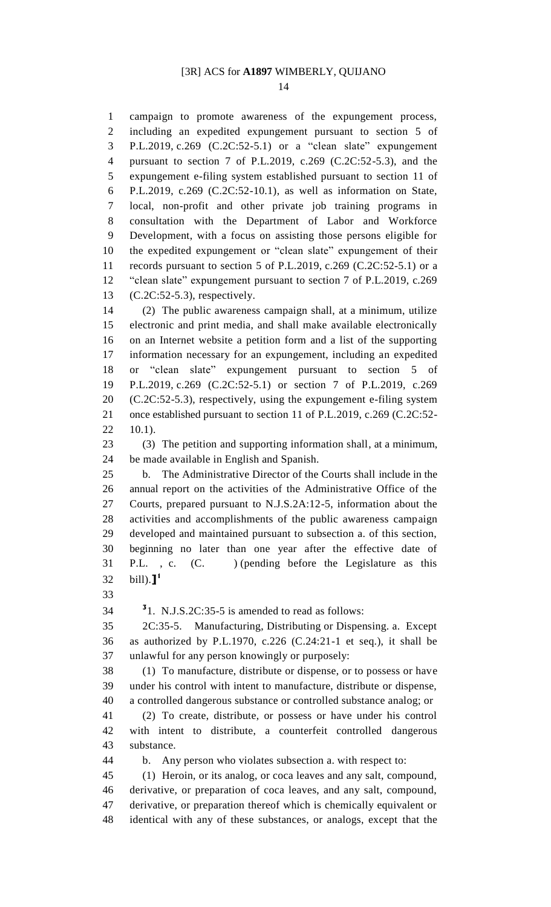campaign to promote awareness of the expungement process, including an expedited expungement pursuant to section 5 of P.L.2019, c.269 (C.2C:52-5.1) or a "clean slate" expungement pursuant to section 7 of P.L.2019, c.269 (C.2C:52-5.3), and the expungement e-filing system established pursuant to section 11 of P.L.2019, c.269 (C.2C:52-10.1), as well as information on State, local, non-profit and other private job training programs in consultation with the Department of Labor and Workforce Development, with a focus on assisting those persons eligible for the expedited expungement or "clean slate" expungement of their records pursuant to section 5 of P.L.2019, c.269 (C.2C:52-5.1) or a "clean slate" expungement pursuant to section 7 of P.L.2019, c.269 (C.2C:52-5.3), respectively.

 (2) The public awareness campaign shall, at a minimum, utilize electronic and print media, and shall make available electronically on an Internet website a petition form and a list of the supporting information necessary for an expungement, including an expedited or "clean slate" expungement pursuant to section 5 of P.L.2019, c.269 (C.2C:52-5.1) or section 7 of P.L.2019, c.269 (C.2C:52-5.3), respectively, using the expungement e-filing system once established pursuant to section 11 of P.L.2019, c.269 (C.2C:52- 10.1).

 (3) The petition and supporting information shall, at a minimum, be made available in English and Spanish.

 b. The Administrative Director of the Courts shall include in the annual report on the activities of the Administrative Office of the Courts, prepared pursuant to N.J.S.2A:12-5, information about the activities and accomplishments of the public awareness campaign developed and maintained pursuant to subsection a. of this section, beginning no later than one year after the effective date of P.L. , c. (C. ) (pending before the Legislature as this bill).**] 1** 

 $34 \quad 31. \text{ N.J.S.2C:35-5 is amended to read as follows:}$ 

 2C:35-5. Manufacturing, Distributing or Dispensing. a. Except as authorized by P.L.1970, c.226 (C.24:21-1 et seq.), it shall be unlawful for any person knowingly or purposely:

 (1) To manufacture, distribute or dispense, or to possess or have under his control with intent to manufacture, distribute or dispense, a controlled dangerous substance or controlled substance analog; or

 (2) To create, distribute, or possess or have under his control with intent to distribute, a counterfeit controlled dangerous substance.

b. Any person who violates subsection a. with respect to:

 (1) Heroin, or its analog, or coca leaves and any salt, compound, derivative, or preparation of coca leaves, and any salt, compound, derivative, or preparation thereof which is chemically equivalent or identical with any of these substances, or analogs, except that the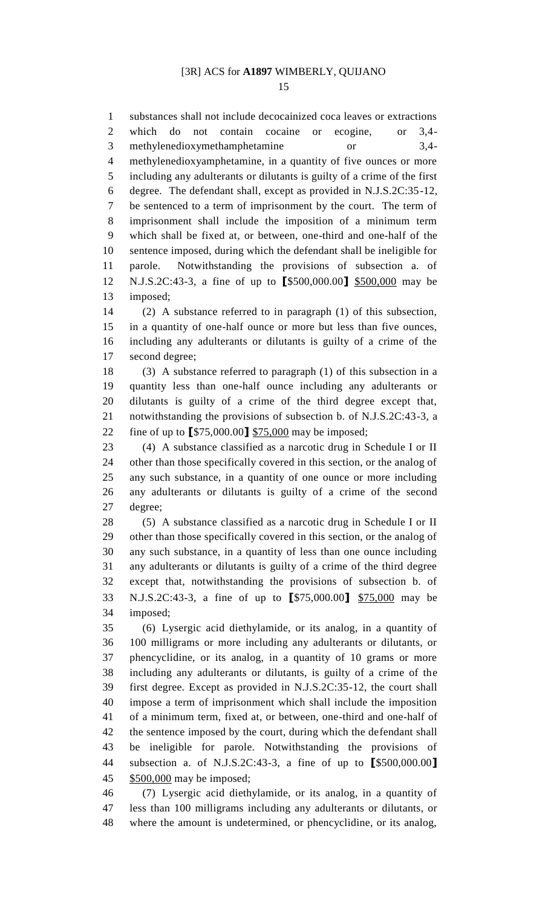substances shall not include decocainized coca leaves or extractions which do not contain cocaine or ecogine, or 3,4- methylenedioxymethamphetamine or 3,4- methylenedioxyamphetamine, in a quantity of five ounces or more including any adulterants or dilutants is guilty of a crime of the first degree. The defendant shall, except as provided in N.J.S.2C:35-12, be sentenced to a term of imprisonment by the court. The term of imprisonment shall include the imposition of a minimum term which shall be fixed at, or between, one-third and one-half of the sentence imposed, during which the defendant shall be ineligible for parole. Notwithstanding the provisions of subsection a. of N.J.S.2C:43-3, a fine of up to **[**\$500,000.00**]** \$500,000 may be imposed;

 (2) A substance referred to in paragraph (1) of this subsection, in a quantity of one-half ounce or more but less than five ounces, including any adulterants or dilutants is guilty of a crime of the second degree;

 (3) A substance referred to paragraph (1) of this subsection in a quantity less than one-half ounce including any adulterants or dilutants is guilty of a crime of the third degree except that, notwithstanding the provisions of subsection b. of N.J.S.2C:43-3, a fine of up to **[**\$75,000.00**]** \$75,000 may be imposed;

 (4) A substance classified as a narcotic drug in Schedule I or II other than those specifically covered in this section, or the analog of any such substance, in a quantity of one ounce or more including any adulterants or dilutants is guilty of a crime of the second degree;

28 (5) A substance classified as a narcotic drug in Schedule I or II other than those specifically covered in this section, or the analog of any such substance, in a quantity of less than one ounce including any adulterants or dilutants is guilty of a crime of the third degree except that, notwithstanding the provisions of subsection b. of N.J.S.2C:43-3, a fine of up to **[**\$75,000.00**]** \$75,000 may be imposed;

 (6) Lysergic acid diethylamide, or its analog, in a quantity of 100 milligrams or more including any adulterants or dilutants, or phencyclidine, or its analog, in a quantity of 10 grams or more including any adulterants or dilutants, is guilty of a crime of the first degree. Except as provided in N.J.S.2C:35-12, the court shall impose a term of imprisonment which shall include the imposition of a minimum term, fixed at, or between, one-third and one-half of the sentence imposed by the court, during which the defendant shall be ineligible for parole. Notwithstanding the provisions of subsection a. of N.J.S.2C:43-3, a fine of up to **[**\$500,000.00**]** \$500,000 may be imposed;

 (7) Lysergic acid diethylamide, or its analog, in a quantity of less than 100 milligrams including any adulterants or dilutants, or where the amount is undetermined, or phencyclidine, or its analog,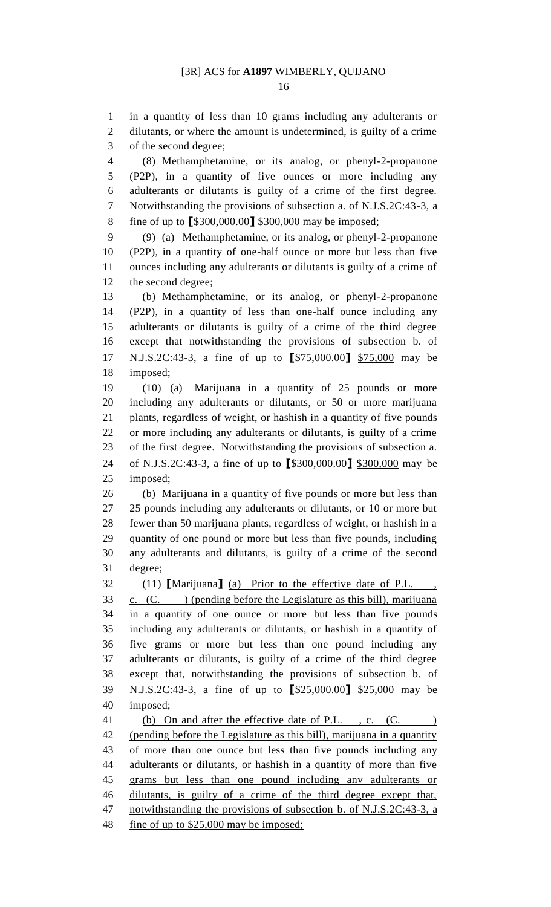in a quantity of less than 10 grams including any adulterants or dilutants, or where the amount is undetermined, is guilty of a crime

 of the second degree; (8) Methamphetamine, or its analog, or phenyl-2-propanone (P2P), in a quantity of five ounces or more including any adulterants or dilutants is guilty of a crime of the first degree. Notwithstanding the provisions of subsection a. of N.J.S.2C:43-3, a fine of up to **[**\$300,000.00**]** \$300,000 may be imposed; (9) (a) Methamphetamine, or its analog, or phenyl-2-propanone (P2P), in a quantity of one-half ounce or more but less than five ounces including any adulterants or dilutants is guilty of a crime of the second degree; (b) Methamphetamine, or its analog, or phenyl-2-propanone (P2P), in a quantity of less than one-half ounce including any adulterants or dilutants is guilty of a crime of the third degree except that notwithstanding the provisions of subsection b. of N.J.S.2C:43-3, a fine of up to **[**\$75,000.00**]** \$75,000 may be imposed; (10) (a) Marijuana in a quantity of 25 pounds or more including any adulterants or dilutants, or 50 or more marijuana plants, regardless of weight, or hashish in a quantity of five pounds or more including any adulterants or dilutants, is guilty of a crime of the first degree. Notwithstanding the provisions of subsection a. of N.J.S.2C:43-3, a fine of up to **[**\$300,000.00**]** \$300,000 may be imposed; (b) Marijuana in a quantity of five pounds or more but less than 25 pounds including any adulterants or dilutants, or 10 or more but fewer than 50 marijuana plants, regardless of weight, or hashish in a quantity of one pound or more but less than five pounds, including any adulterants and dilutants, is guilty of a crime of the second degree; (11) **[**Marijuana**]** (a) Prior to the effective date of P.L. ,  $33 \quad \text{c.} \quad \text{(C.)} \quad \text{(pending before the Legislature as this bill)}, \text{mariju}$  in a quantity of one ounce or more but less than five pounds including any adulterants or dilutants, or hashish in a quantity of five grams or more but less than one pound including any adulterants or dilutants, is guilty of a crime of the third degree except that, notwithstanding the provisions of subsection b. of N.J.S.2C:43-3, a fine of up to **[**\$25,000.00**]** \$25,000 may be imposed; 41 (b) On and after the effective date of P.L., c. (C. (pending before the Legislature as this bill), marijuana in a quantity of more than one ounce but less than five pounds including any 44 adulterants or dilutants, or hashish in a quantity of more than five grams but less than one pound including any adulterants or dilutants, is guilty of a crime of the third degree except that, notwithstanding the provisions of subsection b. of N.J.S.2C:43-3, a fine of up to \$25,000 may be imposed;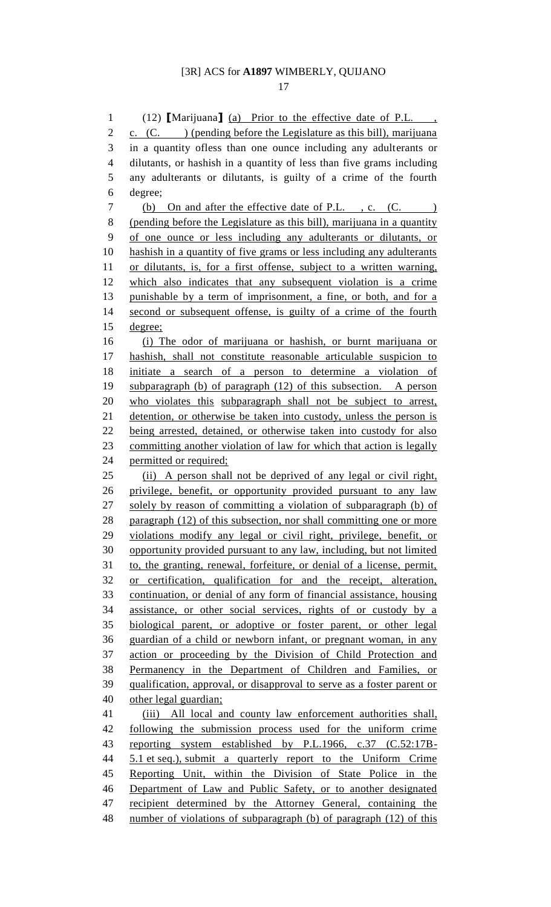(12) **[**Marijuana**]** (a) Prior to the effective date of P.L. , 2 c.  $(C.$  ) (pending before the Legislature as this bill), marijuana in a quantity ofless than one ounce including any adulterants or dilutants, or hashish in a quantity of less than five grams including any adulterants or dilutants, is guilty of a crime of the fourth degree; 7 (b) On and after the effective date of P.L., c. (C. ) (pending before the Legislature as this bill), marijuana in a quantity of one ounce or less including any adulterants or dilutants, or hashish in a quantity of five grams or less including any adulterants or dilutants, is, for a first offense, subject to a written warning, which also indicates that any subsequent violation is a crime punishable by a term of imprisonment, a fine, or both, and for a second or subsequent offense, is guilty of a crime of the fourth degree; (i) The odor of marijuana or hashish, or burnt marijuana or hashish, shall not constitute reasonable articulable suspicion to initiate a search of a person to determine a violation of subparagraph (b) of paragraph (12) of this subsection. A person who violates this subparagraph shall not be subject to arrest, detention, or otherwise be taken into custody, unless the person is being arrested, detained, or otherwise taken into custody for also committing another violation of law for which that action is legally 24 permitted or required; (ii) A person shall not be deprived of any legal or civil right, privilege, benefit, or opportunity provided pursuant to any law solely by reason of committing a violation of subparagraph (b) of 28 paragraph (12) of this subsection, nor shall committing one or more violations modify any legal or civil right, privilege, benefit, or opportunity provided pursuant to any law, including, but not limited to, the granting, renewal, forfeiture, or denial of a license, permit, or certification, qualification for and the receipt, alteration, continuation, or denial of any form of financial assistance, housing assistance, or other social services, rights of or custody by a biological parent, or adoptive or foster parent, or other legal guardian of a child or newborn infant, or pregnant woman, in any action or proceeding by the Division of Child Protection and Permanency in the Department of Children and Families, or qualification, approval, or disapproval to serve as a foster parent or other legal guardian; 41 (iii) All local and county law enforcement authorities shall, following the submission process used for the uniform crime reporting system established by P.L.1966, c.37 (C.52:17B-44 5.1 et seq.), submit a quarterly report to the Uniform Crime Reporting Unit, within the Division of State Police in the Department of Law and Public Safety, or to another designated recipient determined by the Attorney General, containing the number of violations of subparagraph (b) of paragraph (12) of this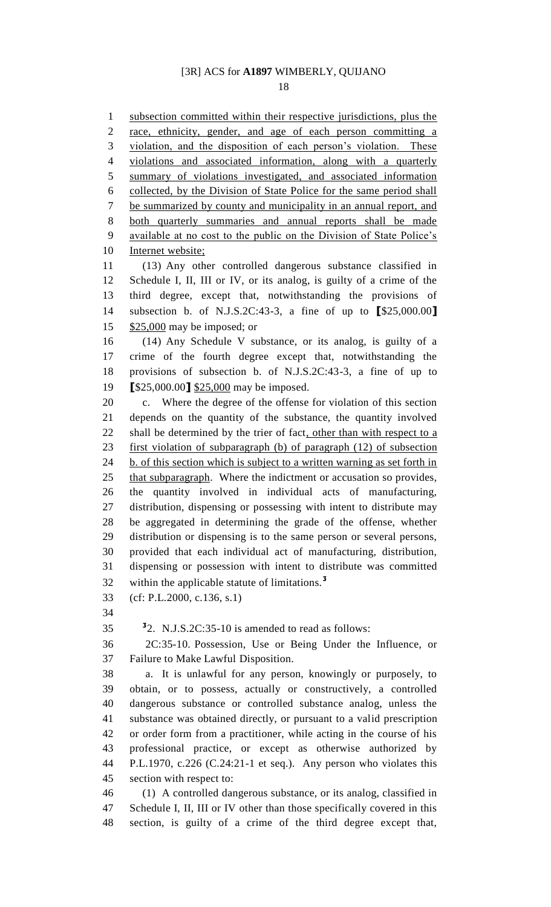subsection committed within their respective jurisdictions, plus the 2 race, ethnicity, gender, and age of each person committing a violation, and the disposition of each person's violation. These violations and associated information, along with a quarterly summary of violations investigated, and associated information collected, by the Division of State Police for the same period shall 7 be summarized by county and municipality in an annual report, and both quarterly summaries and annual reports shall be made available at no cost to the public on the Division of State Police's Internet website; (13) Any other controlled dangerous substance classified in Schedule I, II, III or IV, or its analog, is guilty of a crime of the third degree, except that, notwithstanding the provisions of subsection b. of N.J.S.2C:43-3, a fine of up to **[**\$25,000.00**]** \$25,000 may be imposed; or (14) Any Schedule V substance, or its analog, is guilty of a crime of the fourth degree except that, notwithstanding the provisions of subsection b. of N.J.S.2C:43-3, a fine of up to **[**\$25,000.00**]** \$25,000 may be imposed. c. Where the degree of the offense for violation of this section depends on the quantity of the substance, the quantity involved shall be determined by the trier of fact, other than with respect to a first violation of subparagraph (b) of paragraph (12) of subsection b. of this section which is subject to a written warning as set forth in that subparagraph. Where the indictment or accusation so provides, the quantity involved in individual acts of manufacturing, distribution, dispensing or possessing with intent to distribute may be aggregated in determining the grade of the offense, whether distribution or dispensing is to the same person or several persons, provided that each individual act of manufacturing, distribution, dispensing or possession with intent to distribute was committed within the applicable statute of limitations.**<sup>3</sup>** (cf: P.L.2000, c.136, s.1)  $35 \qquad \qquad$ <sup>3</sup>2. N.J.S.2C:35-10 is amended to read as follows: 2C:35-10. Possession, Use or Being Under the Influence, or Failure to Make Lawful Disposition. a. It is unlawful for any person, knowingly or purposely, to obtain, or to possess, actually or constructively, a controlled dangerous substance or controlled substance analog, unless the substance was obtained directly, or pursuant to a valid prescription or order form from a practitioner, while acting in the course of his professional practice, or except as otherwise authorized by P.L.1970, c.226 (C.24:21-1 et seq.). Any person who violates this section with respect to: (1) A controlled dangerous substance, or its analog, classified in Schedule I, II, III or IV other than those specifically covered in this section, is guilty of a crime of the third degree except that,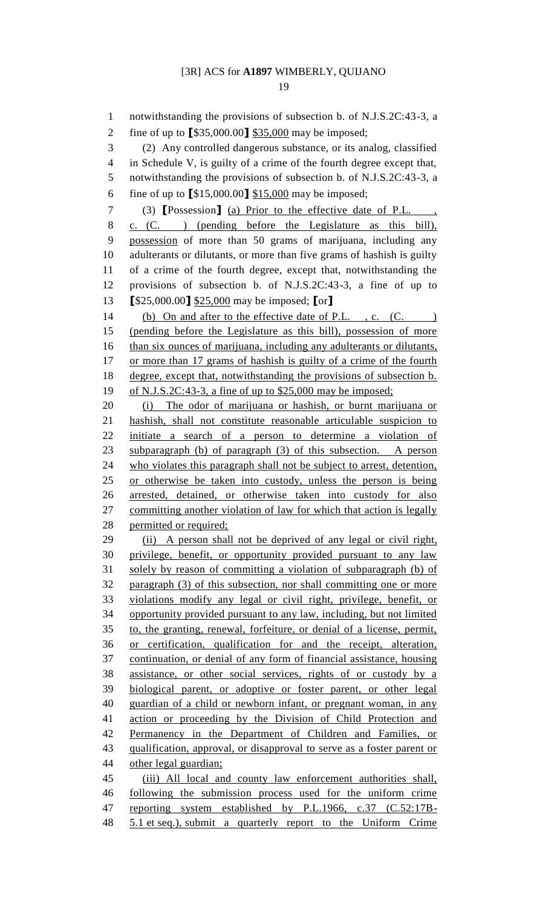notwithstanding the provisions of subsection b. of N.J.S.2C:43-3, a fine of up to **[**\$35,000.00**]** \$35,000 may be imposed; (2) Any controlled dangerous substance, or its analog, classified in Schedule V, is guilty of a crime of the fourth degree except that, notwithstanding the provisions of subsection b. of N.J.S.2C:43-3, a fine of up to **[**\$15,000.00**]** \$15,000 may be imposed; (3) **[**Possession**]** (a) Prior to the effective date of P.L. , c. (C. ) (pending before the Legislature as this bill), possession of more than 50 grams of marijuana, including any adulterants or dilutants, or more than five grams of hashish is guilty of a crime of the fourth degree, except that, notwithstanding the provisions of subsection b. of N.J.S.2C:43-3, a fine of up to **[**\$25,000.00**]** \$25,000 may be imposed; **[**or**]** 14 (b) On and after to the effective date of P.L., c. (C. ) (pending before the Legislature as this bill), possession of more than six ounces of marijuana, including any adulterants or dilutants, or more than 17 grams of hashish is guilty of a crime of the fourth degree, except that, notwithstanding the provisions of subsection b. of N.J.S.2C:43-3, a fine of up to \$25,000 may be imposed; 20 (i) The odor of marijuana or hashish, or burnt marijuana or hashish, shall not constitute reasonable articulable suspicion to initiate a search of a person to determine a violation of subparagraph (b) of paragraph (3) of this subsection. A person who violates this paragraph shall not be subject to arrest, detention, or otherwise be taken into custody, unless the person is being arrested, detained, or otherwise taken into custody for also committing another violation of law for which that action is legally permitted or required; (ii) A person shall not be deprived of any legal or civil right, privilege, benefit, or opportunity provided pursuant to any law solely by reason of committing a violation of subparagraph (b) of paragraph (3) of this subsection, nor shall committing one or more violations modify any legal or civil right, privilege, benefit, or opportunity provided pursuant to any law, including, but not limited to, the granting, renewal, forfeiture, or denial of a license, permit, or certification, qualification for and the receipt, alteration, continuation, or denial of any form of financial assistance, housing assistance, or other social services, rights of or custody by a biological parent, or adoptive or foster parent, or other legal guardian of a child or newborn infant, or pregnant woman, in any action or proceeding by the Division of Child Protection and Permanency in the Department of Children and Families, or qualification, approval, or disapproval to serve as a foster parent or other legal guardian; (iii) All local and county law enforcement authorities shall, following the submission process used for the uniform crime reporting system established by P.L.1966, c.37 (C.52:17B-5.1 et seq.), submit a quarterly report to the Uniform Crime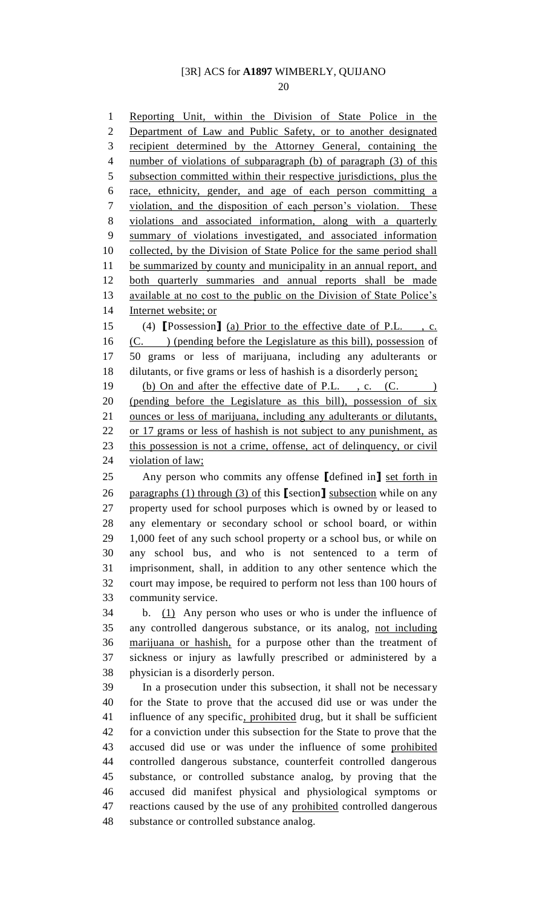Reporting Unit, within the Division of State Police in the 2 Department of Law and Public Safety, or to another designated recipient determined by the Attorney General, containing the number of violations of subparagraph (b) of paragraph (3) of this subsection committed within their respective jurisdictions, plus the race, ethnicity, gender, and age of each person committing a violation, and the disposition of each person's violation. These violations and associated information, along with a quarterly summary of violations investigated, and associated information collected, by the Division of State Police for the same period shall 11 be summarized by county and municipality in an annual report, and both quarterly summaries and annual reports shall be made 13 available at no cost to the public on the Division of State Police's Internet website; or (4) **[**Possession**]** (a) Prior to the effective date of P.L. , c. 16 (C. ) (pending before the Legislature as this bill), possession of 50 grams or less of marijuana, including any adulterants or dilutants, or five grams or less of hashish is a disorderly person; 19 (b) On and after the effective date of P.L., c. (C. (pending before the Legislature as this bill), possession of six ounces or less of marijuana, including any adulterants or dilutants, 22 or 17 grams or less of hashish is not subject to any punishment, as this possession is not a crime, offense, act of delinquency, or civil violation of law; Any person who commits any offense **[**defined in**]** set forth in paragraphs (1) through (3) of this **[**section**]** subsection while on any property used for school purposes which is owned by or leased to any elementary or secondary school or school board, or within 1,000 feet of any such school property or a school bus, or while on any school bus, and who is not sentenced to a term of imprisonment, shall, in addition to any other sentence which the court may impose, be required to perform not less than 100 hours of community service. b. (1) Any person who uses or who is under the influence of any controlled dangerous substance, or its analog, not including marijuana or hashish, for a purpose other than the treatment of sickness or injury as lawfully prescribed or administered by a physician is a disorderly person. In a prosecution under this subsection, it shall not be necessary for the State to prove that the accused did use or was under the 41 influence of any specific, prohibited drug, but it shall be sufficient for a conviction under this subsection for the State to prove that the accused did use or was under the influence of some prohibited controlled dangerous substance, counterfeit controlled dangerous substance, or controlled substance analog, by proving that the accused did manifest physical and physiological symptoms or reactions caused by the use of any prohibited controlled dangerous substance or controlled substance analog.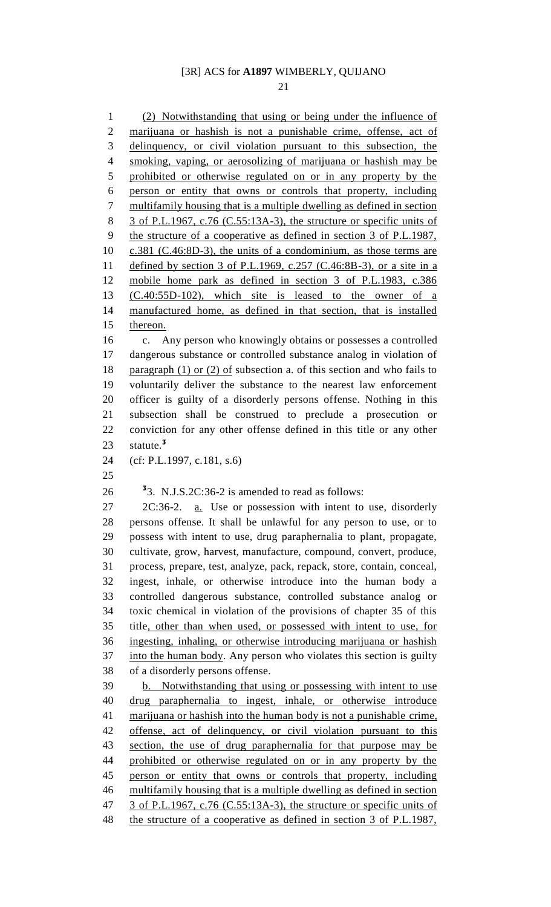(2) Notwithstanding that using or being under the influence of marijuana or hashish is not a punishable crime, offense, act of delinquency, or civil violation pursuant to this subsection, the smoking, vaping, or aerosolizing of marijuana or hashish may be prohibited or otherwise regulated on or in any property by the person or entity that owns or controls that property, including multifamily housing that is a multiple dwelling as defined in section 3 of P.L.1967, c.76 (C.55:13A-3), the structure or specific units of the structure of a cooperative as defined in section 3 of P.L.1987, c.381 (C.46:8D-3), the units of a condominium, as those terms are defined by section 3 of P.L.1969, c.257 (C.46:8B-3), or a site in a mobile home park as defined in section 3 of P.L.1983, c.386 (C.40:55D-102), which site is leased to the owner of a manufactured home, as defined in that section, that is installed thereon. c. Any person who knowingly obtains or possesses a controlled dangerous substance or controlled substance analog in violation of 18 paragraph (1) or (2) of subsection a. of this section and who fails to voluntarily deliver the substance to the nearest law enforcement officer is guilty of a disorderly persons offense. Nothing in this subsection shall be construed to preclude a prosecution or conviction for any other offense defined in this title or any other statute.**<sup>3</sup>** (cf: P.L.1997, c.181, s.6)  $26 \qquad \qquad$  <sup>3</sup>3. N.J.S.2C:36-2 is amended to read as follows: 27 2C:36-2. <u>a.</u> Use or possession with intent to use, disorderly persons offense. It shall be unlawful for any person to use, or to possess with intent to use, drug paraphernalia to plant, propagate, cultivate, grow, harvest, manufacture, compound, convert, produce, process, prepare, test, analyze, pack, repack, store, contain, conceal, ingest, inhale, or otherwise introduce into the human body a controlled dangerous substance, controlled substance analog or toxic chemical in violation of the provisions of chapter 35 of this title, other than when used, or possessed with intent to use, for ingesting, inhaling, or otherwise introducing marijuana or hashish into the human body. Any person who violates this section is guilty of a disorderly persons offense. b. Notwithstanding that using or possessing with intent to use drug paraphernalia to ingest, inhale, or otherwise introduce marijuana or hashish into the human body is not a punishable crime, offense, act of delinquency, or civil violation pursuant to this section, the use of drug paraphernalia for that purpose may be prohibited or otherwise regulated on or in any property by the person or entity that owns or controls that property, including multifamily housing that is a multiple dwelling as defined in section 3 of P.L.1967, c.76 (C.55:13A-3), the structure or specific units of 48 the structure of a cooperative as defined in section 3 of P.L.1987,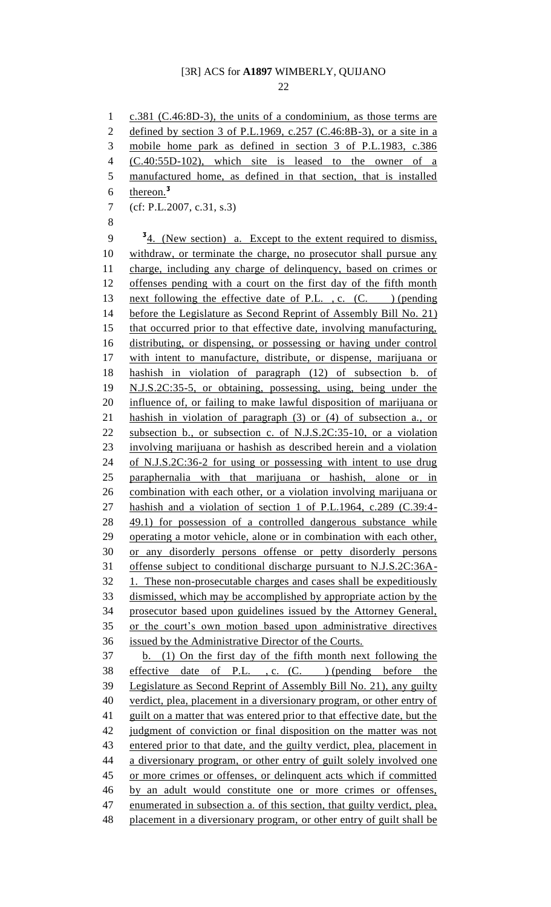c.381 (C.46:8D-3), the units of a condominium, as those terms are 2 defined by section 3 of P.L.1969, c.257 (C.46:8B-3), or a site in a mobile home park as defined in section 3 of P.L.1983, c.386 (C.40:55D-102), which site is leased to the owner of a manufactured home, as defined in that section, that is installed thereon.**<sup>3</sup>** (cf: P.L.2007, c.31, s.3) <sup>3</sup><sub>4</sub>. (New section) a. Except to the extent required to dismiss, withdraw, or terminate the charge, no prosecutor shall pursue any charge, including any charge of delinquency, based on crimes or offenses pending with a court on the first day of the fifth month 13 next following the effective date of P.L., c. (C. ) (pending before the Legislature as Second Reprint of Assembly Bill No. 21) 15 that occurred prior to that effective date, involving manufacturing, distributing, or dispensing, or possessing or having under control with intent to manufacture, distribute, or dispense, marijuana or hashish in violation of paragraph (12) of subsection b. of N.J.S.2C:35-5, or obtaining, possessing, using, being under the influence of, or failing to make lawful disposition of marijuana or hashish in violation of paragraph (3) or (4) of subsection a., or subsection b., or subsection c. of N.J.S.2C:35-10, or a violation involving marijuana or hashish as described herein and a violation of N.J.S.2C:36-2 for using or possessing with intent to use drug paraphernalia with that marijuana or hashish, alone or in combination with each other, or a violation involving marijuana or hashish and a violation of section 1 of P.L.1964, c.289 (C.39:4- 49.1) for possession of a controlled dangerous substance while operating a motor vehicle, alone or in combination with each other, or any disorderly persons offense or petty disorderly persons offense subject to conditional discharge pursuant to N.J.S.2C:36A- 1. These non-prosecutable charges and cases shall be expeditiously dismissed, which may be accomplished by appropriate action by the prosecutor based upon guidelines issued by the Attorney General, or the court's own motion based upon administrative directives issued by the Administrative Director of the Courts. b. (1) On the first day of the fifth month next following the effective date of P.L. , c. (C. ) (pending before the Legislature as Second Reprint of Assembly Bill No. 21), any guilty verdict, plea, placement in a diversionary program, or other entry of guilt on a matter that was entered prior to that effective date, but the judgment of conviction or final disposition on the matter was not 43 entered prior to that date, and the guilty verdict, plea, placement in a diversionary program, or other entry of guilt solely involved one or more crimes or offenses, or delinquent acts which if committed by an adult would constitute one or more crimes or offenses, 47 enumerated in subsection a. of this section, that guilty verdict, plea, 48 placement in a diversionary program, or other entry of guilt shall be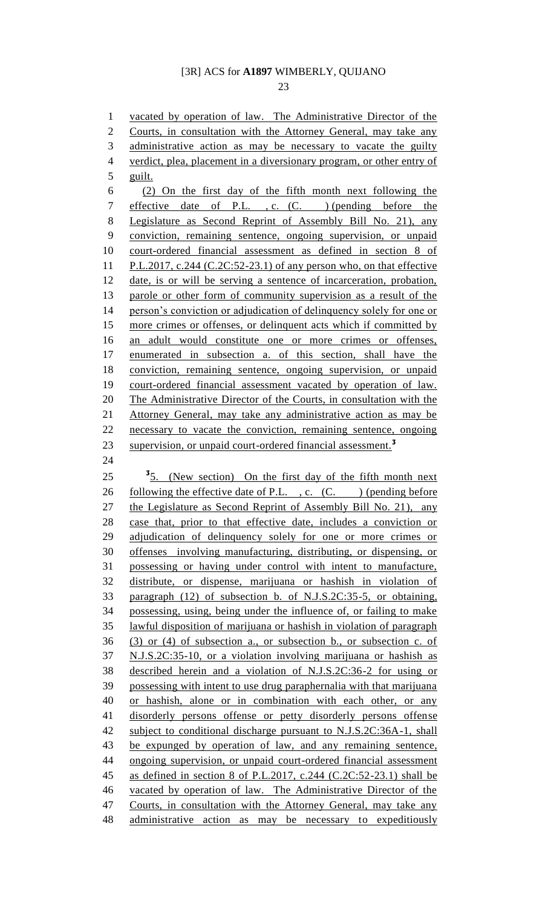vacated by operation of law. The Administrative Director of the 2 Courts, in consultation with the Attorney General, may take any 3 administrative action as may be necessary to vacate the guilty verdict, plea, placement in a diversionary program, or other entry of guilt. (2) On the first day of the fifth month next following the 7 effective date of P.L. , c. (C. ) (pending before the Legislature as Second Reprint of Assembly Bill No. 21), any conviction, remaining sentence, ongoing supervision, or unpaid court-ordered financial assessment as defined in section 8 of P.L.2017, c.244 (C.2C:52-23.1) of any person who, on that effective date, is or will be serving a sentence of incarceration, probation, parole or other form of community supervision as a result of the person's conviction or adjudication of delinquency solely for one or 15 more crimes or offenses, or delinquent acts which if committed by an adult would constitute one or more crimes or offenses, enumerated in subsection a. of this section, shall have the conviction, remaining sentence, ongoing supervision, or unpaid court-ordered financial assessment vacated by operation of law. 20 The Administrative Director of the Courts, in consultation with the Attorney General, may take any administrative action as may be necessary to vacate the conviction, remaining sentence, ongoing supervision, or unpaid court-ordered financial assessment.**<sup>3</sup>** 25 <sup>3</sup><sub>2</sub>. (New section) On the first day of the fifth month next 26 following the effective date of P.L.  $, c.$  (C. ) (pending before the Legislature as Second Reprint of Assembly Bill No. 21), any case that, prior to that effective date, includes a conviction or adjudication of delinquency solely for one or more crimes or offenses involving manufacturing, distributing, or dispensing, or possessing or having under control with intent to manufacture, distribute, or dispense, marijuana or hashish in violation of paragraph (12) of subsection b. of N.J.S.2C:35-5, or obtaining, possessing, using, being under the influence of, or failing to make lawful disposition of marijuana or hashish in violation of paragraph (3) or (4) of subsection a., or subsection b., or subsection c. of N.J.S.2C:35-10, or a violation involving marijuana or hashish as described herein and a violation of N.J.S.2C:36-2 for using or possessing with intent to use drug paraphernalia with that marijuana or hashish, alone or in combination with each other, or any disorderly persons offense or petty disorderly persons offense subject to conditional discharge pursuant to N.J.S.2C:36A-1, shall 43 be expunged by operation of law, and any remaining sentence, ongoing supervision, or unpaid court-ordered financial assessment as defined in section 8 of P.L.2017, c.244 (C.2C:52-23.1) shall be vacated by operation of law. The Administrative Director of the Courts, in consultation with the Attorney General, may take any administrative action as may be necessary to expeditiously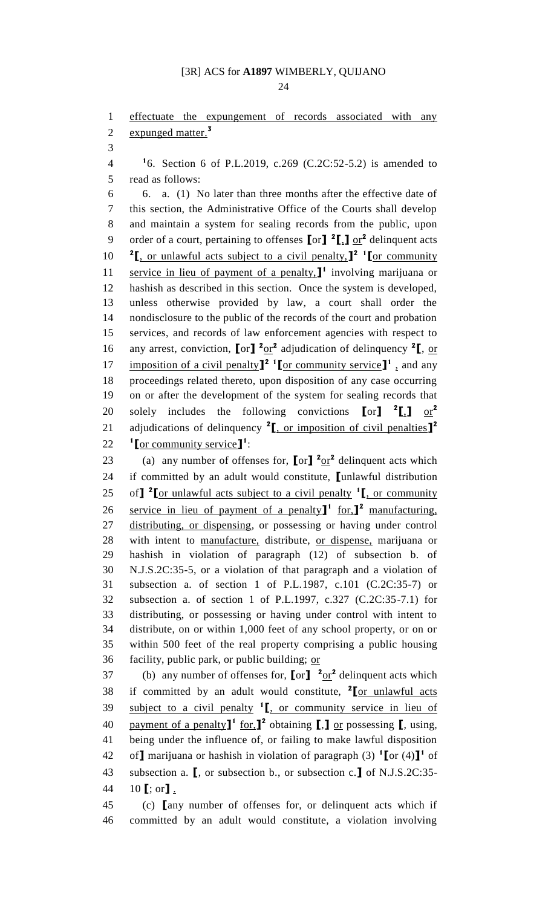effectuate the expungement of records associated with any expunged matter. **3 1** 6. Section 6 of P.L.2019, c.269 (C.2C:52-5.2) is amended to read as follows: 6. a. (1) No later than three months after the effective date of this section, the Administrative Office of the Courts shall develop and maintain a system for sealing records from the public, upon 9 order of a court, pertaining to offenses  $\text{I}$  or  $\text{I}$   $\text{I}$ ,  $\text{I}$  or  $\text{I}$  delinquent acts **2 [**, or unlawful acts subject to a civil penalty,**] 2 1 [**or community 11 service in lieu of payment of a penalty,  $\mathbf{I}^1$  involving marijuana or hashish as described in this section. Once the system is developed, unless otherwise provided by law, a court shall order the nondisclosure to the public of the records of the court and probation services, and records of law enforcement agencies with respect to 16 any arrest, conviction,  $\text{I}$  or  $\text{I}$ <sup>2</sup>  $\text{or}$ <sup>2</sup> adjudication of delinquency <sup>2</sup> $\text{I}$ , <u>or</u> 17 imposition of a civil penalty<sup>2</sup><sup>1</sup> [or community service<sup>1</sup>]<sup>1</sup>, and any proceedings related thereto, upon disposition of any case occurring on or after the development of the system for sealing records that solely includes the following convictions  $\text{or} \mathbf{I}$   $\mathbf{I}$ ,  $\mathbf{I}$   $\mathbf{I}$   $\mathbf{I}$  adjudications of delinquency **<sup>2</sup> [**, or imposition of civil penalties**] 2** 22 <sup>1</sup> [or community service]<sup>1</sup>: (a) any number of offenses for,  $\text{[or]}$   $\frac{2 \text{ or } 2}{\text{.}}$  delinquent acts which if committed by an adult would constitute, **[**unlawful distribution 25 of  $\int_0^2$  **[**or unlawful acts subject to a civil penalty <sup>1</sup>, or community 26 service in lieu of payment of a penalty  $\int_0^1$  for  $\int_0^2$  manufacturing, distributing, or dispensing, or possessing or having under control with intent to manufacture, distribute, or dispense, marijuana or hashish in violation of paragraph (12) of subsection b. of N.J.S.2C:35-5, or a violation of that paragraph and a violation of subsection a. of section 1 of P.L.1987, c.101 (C.2C:35-7) or subsection a. of section 1 of P.L.1997, c.327 (C.2C:35-7.1) for distributing, or possessing or having under control with intent to distribute, on or within 1,000 feet of any school property, or on or within 500 feet of the real property comprising a public housing 36 facility, public park, or public building;  $or$ (b) any number of offenses for,  $\left[\text{or}\right]$   $\frac{2 \text{ or } 2}{\text{ or } 2}$  delinquent acts which if committed by an adult would constitute, **<sup>2</sup> [**or unlawful acts 39 **subject to a civil penalty <sup>1</sup>I**, or community service in lieu of 40 payment of a penalty<sup>1</sup> for,<sup>12</sup> obtaining  $\llbracket$ ,  $\rrbracket$  or possessing  $\llbracket$ , using, being under the influence of, or failing to make lawful disposition of**]** marijuana or hashish in violation of paragraph (3) **<sup>1</sup> [**or (4)**] 1** of subsection a. **[**, or subsection b., or subsection c.**]** of N.J.S.2C:35- 10 **[**; or**]** .

 (c) **[**any number of offenses for, or delinquent acts which if committed by an adult would constitute, a violation involving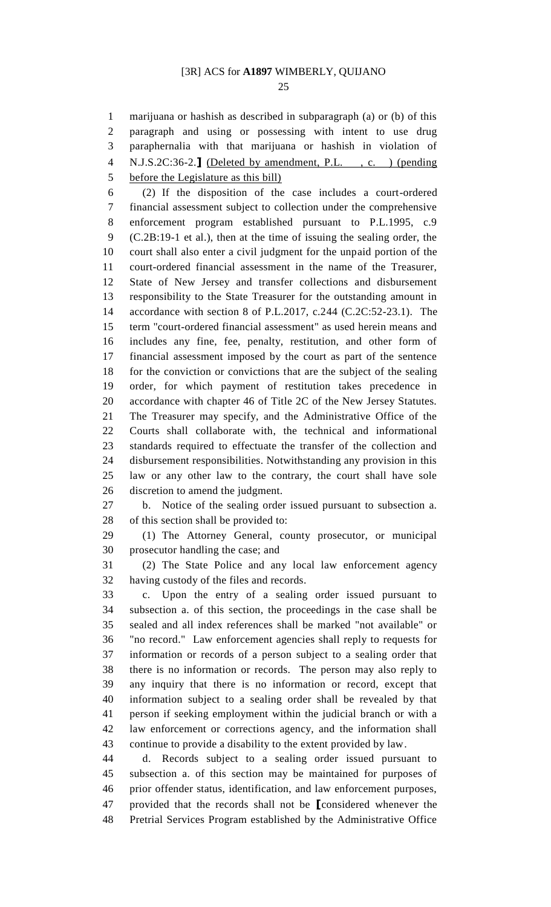marijuana or hashish as described in subparagraph (a) or (b) of this paragraph and using or possessing with intent to use drug paraphernalia with that marijuana or hashish in violation of N.J.S.2C:36-2.**]** (Deleted by amendment, P.L. , c. ) (pending 5 before the Legislature as this bill)

 (2) If the disposition of the case includes a court-ordered financial assessment subject to collection under the comprehensive enforcement program established pursuant to P.L.1995, c.9 (C.2B:19-1 et al.), then at the time of issuing the sealing order, the court shall also enter a civil judgment for the unpaid portion of the court-ordered financial assessment in the name of the Treasurer, State of New Jersey and transfer collections and disbursement responsibility to the State Treasurer for the outstanding amount in accordance with section 8 of P.L.2017, c.244 (C.2C:52-23.1). The term "court-ordered financial assessment" as used herein means and includes any fine, fee, penalty, restitution, and other form of financial assessment imposed by the court as part of the sentence for the conviction or convictions that are the subject of the sealing order, for which payment of restitution takes precedence in accordance with chapter 46 of Title 2C of the New Jersey Statutes. The Treasurer may specify, and the Administrative Office of the Courts shall collaborate with, the technical and informational standards required to effectuate the transfer of the collection and disbursement responsibilities. Notwithstanding any provision in this law or any other law to the contrary, the court shall have sole discretion to amend the judgment.

 b. Notice of the sealing order issued pursuant to subsection a. of this section shall be provided to:

 (1) The Attorney General, county prosecutor, or municipal prosecutor handling the case; and

 (2) The State Police and any local law enforcement agency having custody of the files and records.

 c. Upon the entry of a sealing order issued pursuant to subsection a. of this section, the proceedings in the case shall be sealed and all index references shall be marked "not available" or "no record." Law enforcement agencies shall reply to requests for information or records of a person subject to a sealing order that there is no information or records. The person may also reply to any inquiry that there is no information or record, except that information subject to a sealing order shall be revealed by that person if seeking employment within the judicial branch or with a law enforcement or corrections agency, and the information shall continue to provide a disability to the extent provided by law.

 d. Records subject to a sealing order issued pursuant to subsection a. of this section may be maintained for purposes of prior offender status, identification, and law enforcement purposes, provided that the records shall not be **[**considered whenever the Pretrial Services Program established by the Administrative Office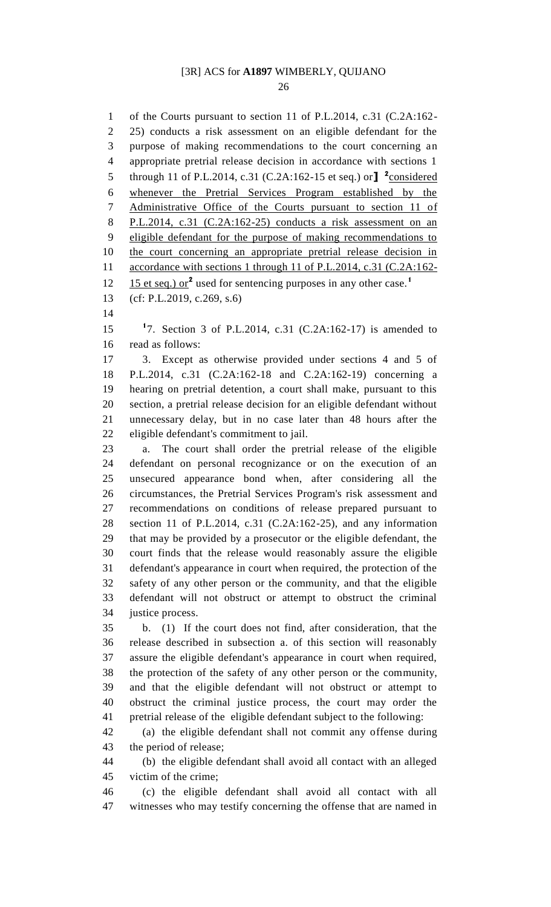of the Courts pursuant to section 11 of P.L.2014, c.31 (C.2A:162- 25) conducts a risk assessment on an eligible defendant for the purpose of making recommendations to the court concerning an appropriate pretrial release decision in accordance with sections 1 5 through 11 of P.L.2014, c.31 (C.2A:162-15 et seq.) or<sup>1</sup> <sup>2</sup>considered whenever the Pretrial Services Program established by the Administrative Office of the Courts pursuant to section 11 of 8 P.L.2014, c.31 (C.2A:162-25) conducts a risk assessment on an eligible defendant for the purpose of making recommendations to the court concerning an appropriate pretrial release decision in 11 accordance with sections 1 through 11 of P.L.2014, c.31 (C.2A:162-15 et seq.) or**<sup>2</sup>** used for sentencing purposes in any other case.**<sup>1</sup>** (cf: P.L.2019, c.269, s.6) 15 <sup>1</sup>7. Section 3 of P.L.2014, c.31 (C.2A:162-17) is amended to read as follows: 3. Except as otherwise provided under sections 4 and 5 of P.L.2014, c.31 (C.2A:162-18 and C.2A:162-19) concerning a hearing on pretrial detention, a court shall make, pursuant to this section, a pretrial release decision for an eligible defendant without unnecessary delay, but in no case later than 48 hours after the eligible defendant's commitment to jail. a. The court shall order the pretrial release of the eligible defendant on personal recognizance or on the execution of an unsecured appearance bond when, after considering all the circumstances, the Pretrial Services Program's risk assessment and recommendations on conditions of release prepared pursuant to section 11 of P.L.2014, c.31 (C.2A:162-25), and any information that may be provided by a prosecutor or the eligible defendant, the court finds that the release would reasonably assure the eligible defendant's appearance in court when required, the protection of the safety of any other person or the community, and that the eligible defendant will not obstruct or attempt to obstruct the criminal justice process. b. (1) If the court does not find, after consideration, that the release described in subsection a. of this section will reasonably assure the eligible defendant's appearance in court when required, the protection of the safety of any other person or the community, and that the eligible defendant will not obstruct or attempt to obstruct the criminal justice process, the court may order the pretrial release of the eligible defendant subject to the following: (a) the eligible defendant shall not commit any offense during the period of release; (b) the eligible defendant shall avoid all contact with an alleged victim of the crime; (c) the eligible defendant shall avoid all contact with all witnesses who may testify concerning the offense that are named in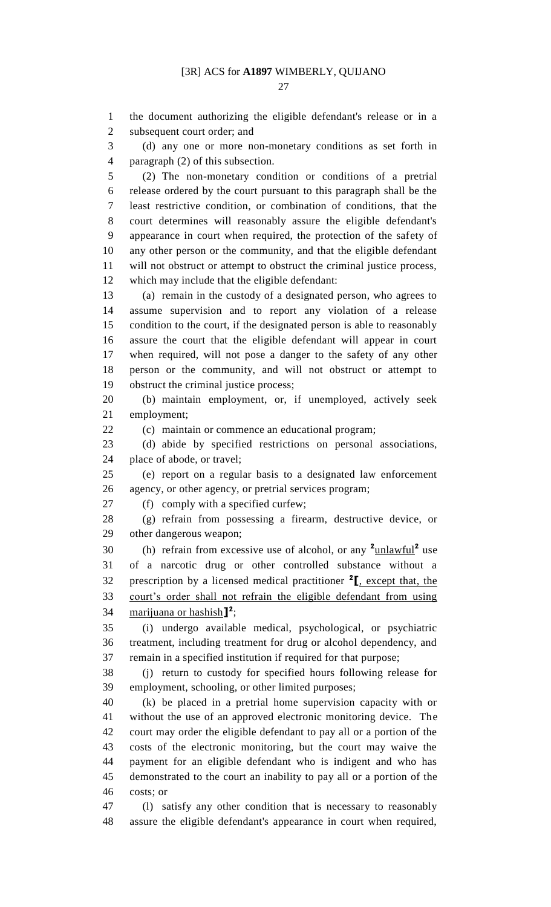the document authorizing the eligible defendant's release or in a subsequent court order; and (d) any one or more non-monetary conditions as set forth in

paragraph (2) of this subsection.

 (2) The non-monetary condition or conditions of a pretrial release ordered by the court pursuant to this paragraph shall be the least restrictive condition, or combination of conditions, that the court determines will reasonably assure the eligible defendant's appearance in court when required, the protection of the safety of any other person or the community, and that the eligible defendant will not obstruct or attempt to obstruct the criminal justice process, which may include that the eligible defendant:

 (a) remain in the custody of a designated person, who agrees to assume supervision and to report any violation of a release condition to the court, if the designated person is able to reasonably assure the court that the eligible defendant will appear in court when required, will not pose a danger to the safety of any other person or the community, and will not obstruct or attempt to obstruct the criminal justice process;

 (b) maintain employment, or, if unemployed, actively seek employment;

(c) maintain or commence an educational program;

 (d) abide by specified restrictions on personal associations, place of abode, or travel;

 (e) report on a regular basis to a designated law enforcement agency, or other agency, or pretrial services program;

(f) comply with a specified curfew;

 (g) refrain from possessing a firearm, destructive device, or other dangerous weapon;

30 (h) refrain from excessive use of alcohol, or any  $\frac{2 \text{unlawful}}{2}$  use of a narcotic drug or other controlled substance without a prescription by a licensed medical practitioner **<sup>2</sup> [**, except that, the court's order shall not refrain the eligible defendant from using 34 marijuana or hashish<sup>1</sup><sup>2</sup>;

 (i) undergo available medical, psychological, or psychiatric treatment, including treatment for drug or alcohol dependency, and remain in a specified institution if required for that purpose;

 (j) return to custody for specified hours following release for employment, schooling, or other limited purposes;

 (k) be placed in a pretrial home supervision capacity with or without the use of an approved electronic monitoring device. The court may order the eligible defendant to pay all or a portion of the costs of the electronic monitoring, but the court may waive the payment for an eligible defendant who is indigent and who has demonstrated to the court an inability to pay all or a portion of the costs; or

 (l) satisfy any other condition that is necessary to reasonably assure the eligible defendant's appearance in court when required,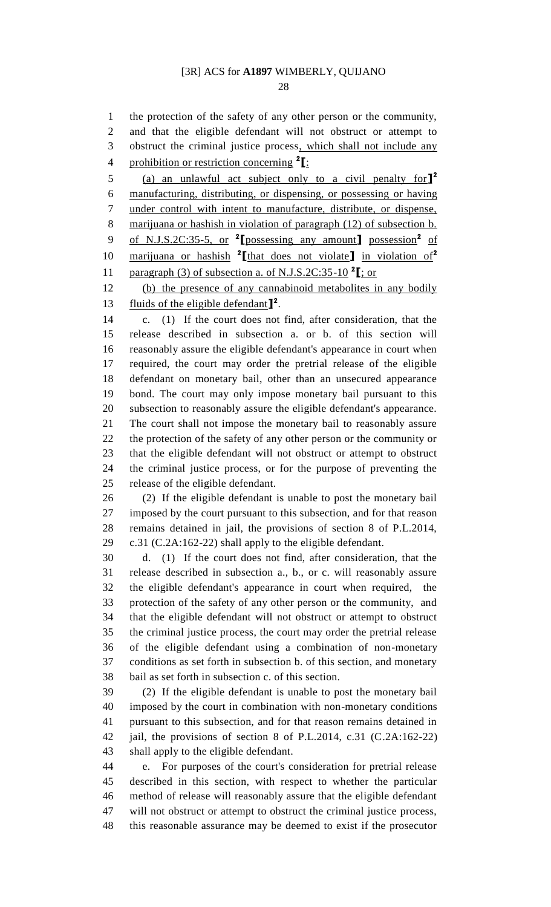the protection of the safety of any other person or the community,

and that the eligible defendant will not obstruct or attempt to

3 obstruct the criminal justice process, which shall not include any prohibition or restriction concerning **<sup>2</sup> [**:

(a) an unlawful act subject only to a civil penalty for**] 2** manufacturing, distributing, or dispensing, or possessing or having under control with intent to manufacture, distribute, or dispense, marijuana or hashish in violation of paragraph (12) of subsection b. 9 of N.J.S.2C:35-5, or <sup>2</sup>[possessing any amount] possession<sup>2</sup> of marijuana or hashish **<sup>2</sup> [**that does not violate**]** in violation of**<sup>2</sup>** 11 **paragraph** (3) of subsection a. of N.J.S.2C:35-10<sup>2</sup>[; or

 (b) the presence of any cannabinoid metabolites in any bodily 13 fluids of the eligible defendant  $\mathbf{I}^2$ .

 c. (1) If the court does not find, after consideration, that the release described in subsection a. or b. of this section will reasonably assure the eligible defendant's appearance in court when required, the court may order the pretrial release of the eligible defendant on monetary bail, other than an unsecured appearance bond. The court may only impose monetary bail pursuant to this subsection to reasonably assure the eligible defendant's appearance. The court shall not impose the monetary bail to reasonably assure the protection of the safety of any other person or the community or that the eligible defendant will not obstruct or attempt to obstruct the criminal justice process, or for the purpose of preventing the release of the eligible defendant.

 (2) If the eligible defendant is unable to post the monetary bail imposed by the court pursuant to this subsection, and for that reason remains detained in jail, the provisions of section 8 of P.L.2014, c.31 (C.2A:162-22) shall apply to the eligible defendant.

 d. (1) If the court does not find, after consideration, that the release described in subsection a., b., or c. will reasonably assure the eligible defendant's appearance in court when required, the protection of the safety of any other person or the community, and that the eligible defendant will not obstruct or attempt to obstruct the criminal justice process, the court may order the pretrial release of the eligible defendant using a combination of non-monetary conditions as set forth in subsection b. of this section, and monetary bail as set forth in subsection c. of this section.

 (2) If the eligible defendant is unable to post the monetary bail imposed by the court in combination with non-monetary conditions pursuant to this subsection, and for that reason remains detained in jail, the provisions of section 8 of P.L.2014, c.31 (C.2A:162-22) shall apply to the eligible defendant.

 e. For purposes of the court's consideration for pretrial release described in this section, with respect to whether the particular method of release will reasonably assure that the eligible defendant will not obstruct or attempt to obstruct the criminal justice process, this reasonable assurance may be deemed to exist if the prosecutor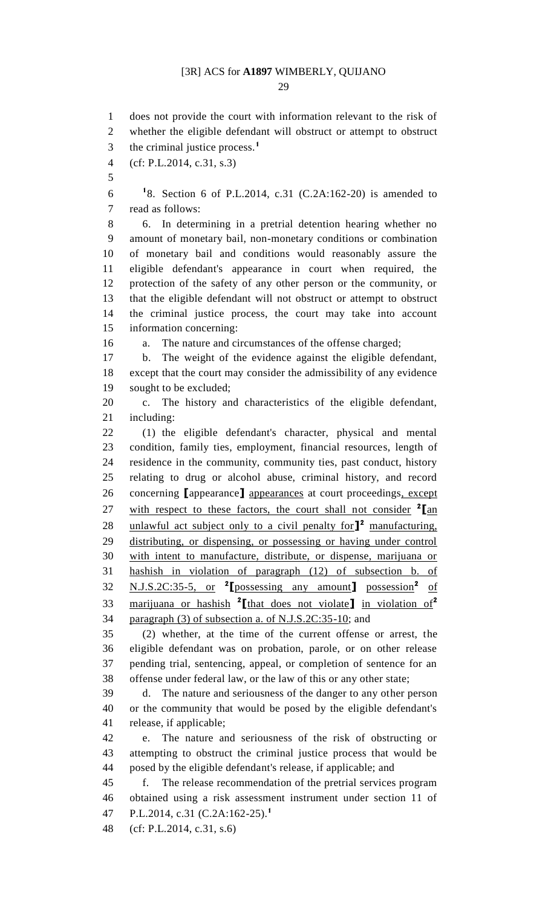does not provide the court with information relevant to the risk of whether the eligible defendant will obstruct or attempt to obstruct the criminal justice process.**<sup>1</sup>** (cf: P.L.2014, c.31, s.3) 8. Section 6 of P.L.2014, c.31 (C.2A:162-20) is amended to read as follows: 6. In determining in a pretrial detention hearing whether no amount of monetary bail, non-monetary conditions or combination of monetary bail and conditions would reasonably assure the eligible defendant's appearance in court when required, the protection of the safety of any other person or the community, or that the eligible defendant will not obstruct or attempt to obstruct the criminal justice process, the court may take into account information concerning: a. The nature and circumstances of the offense charged; b. The weight of the evidence against the eligible defendant, except that the court may consider the admissibility of any evidence sought to be excluded; c. The history and characteristics of the eligible defendant, including: (1) the eligible defendant's character, physical and mental condition, family ties, employment, financial resources, length of residence in the community, community ties, past conduct, history relating to drug or alcohol abuse, criminal history, and record concerning **[**appearance**]** appearances at court proceedings, except 27 with respect to these factors, the court shall not consider <sup>2</sup> [an 28 unlawful act subject only to a civil penalty for <sup>2</sup> manufacturing, distributing, or dispensing, or possessing or having under control with intent to manufacture, distribute, or dispense, marijuana or hashish in violation of paragraph (12) of subsection b. of 32 N.J.S.2C:35-5, or <sup>2</sup>[possessing any amount] possession<sup>2</sup> of marijuana or hashish **<sup>2</sup> [**that does not violate**]** in violation of**<sup>2</sup>** paragraph (3) of subsection a. of N.J.S.2C:35-10; and (2) whether, at the time of the current offense or arrest, the eligible defendant was on probation, parole, or on other release pending trial, sentencing, appeal, or completion of sentence for an offense under federal law, or the law of this or any other state; d. The nature and seriousness of the danger to any other person or the community that would be posed by the eligible defendant's release, if applicable; e. The nature and seriousness of the risk of obstructing or attempting to obstruct the criminal justice process that would be posed by the eligible defendant's release, if applicable; and f. The release recommendation of the pretrial services program obtained using a risk assessment instrument under section 11 of P.L.2014, c.31 (C.2A:162-25).**<sup>1</sup>** (cf: P.L.2014, c.31, s.6)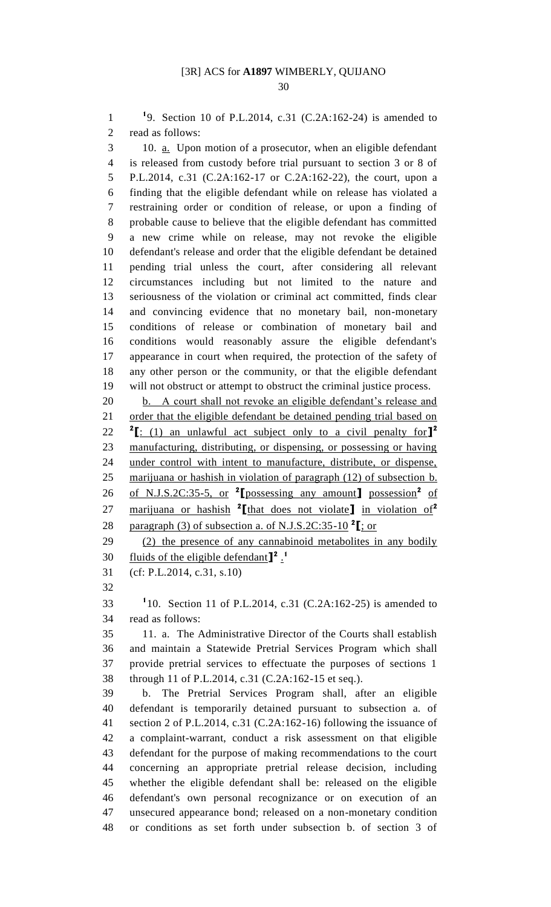**1** 9. Section 10 of P.L.2014, c.31 (C.2A:162-24) is amended to read as follows:

 10. a. Upon motion of a prosecutor, when an eligible defendant is released from custody before trial pursuant to section 3 or 8 of P.L.2014, c.31 (C.2A:162-17 or C.2A:162-22), the court, upon a finding that the eligible defendant while on release has violated a restraining order or condition of release, or upon a finding of probable cause to believe that the eligible defendant has committed a new crime while on release, may not revoke the eligible defendant's release and order that the eligible defendant be detained pending trial unless the court, after considering all relevant circumstances including but not limited to the nature and seriousness of the violation or criminal act committed, finds clear and convincing evidence that no monetary bail, non-monetary conditions of release or combination of monetary bail and conditions would reasonably assure the eligible defendant's appearance in court when required, the protection of the safety of any other person or the community, or that the eligible defendant will not obstruct or attempt to obstruct the criminal justice process. b. A court shall not revoke an eligible defendant's release and

 order that the eligible defendant be detained pending trial based on **[**: (1) an unlawful act subject only to a civil penalty for**] 2** manufacturing, distributing, or dispensing, or possessing or having under control with intent to manufacture, distribute, or dispense, marijuana or hashish in violation of paragraph (12) of subsection b. 26 of N.J.S.2C:35-5, or <sup>2</sup>[possessing any amount] possession<sup>2</sup> of marijuana or hashish **<sup>2</sup> [**that does not violate**]** in violation of**<sup>2</sup>** paragraph (3) of subsection a. of N.J.S.2C:35-10 **<sup>2</sup> [**; or

 (2) the presence of any cannabinoid metabolites in any bodily fluids of the eligible defendant**] 2** . **1** 

- (cf: P.L.2014, c.31, s.10)
- 

**1** 10. Section 11 of P.L.2014, c.31 (C.2A:162-25) is amended to read as follows:

 11. a. The Administrative Director of the Courts shall establish and maintain a Statewide Pretrial Services Program which shall provide pretrial services to effectuate the purposes of sections 1 through 11 of P.L.2014, c.31 (C.2A:162-15 et seq.).

 b. The Pretrial Services Program shall, after an eligible defendant is temporarily detained pursuant to subsection a. of section 2 of P.L.2014, c.31 (C.2A:162-16) following the issuance of a complaint-warrant, conduct a risk assessment on that eligible defendant for the purpose of making recommendations to the court concerning an appropriate pretrial release decision, including whether the eligible defendant shall be: released on the eligible defendant's own personal recognizance or on execution of an unsecured appearance bond; released on a non-monetary condition or conditions as set forth under subsection b. of section 3 of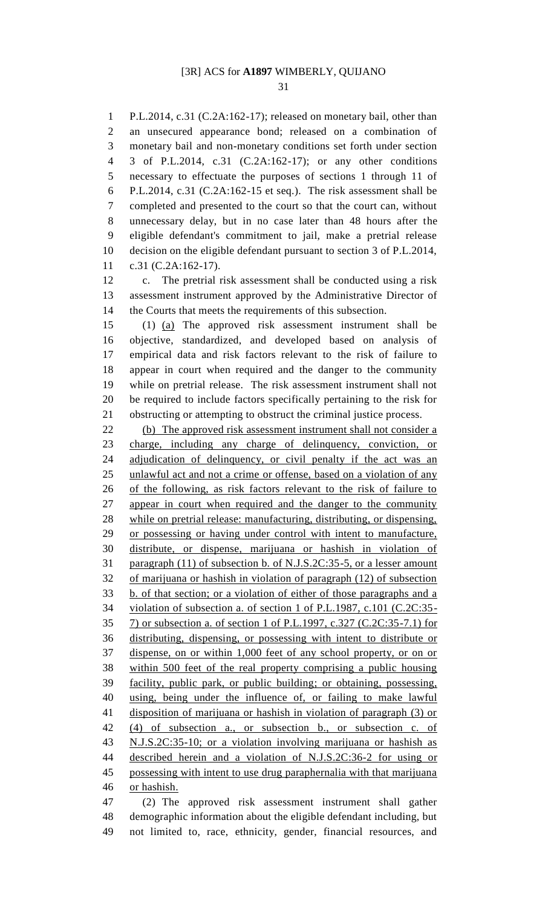P.L.2014, c.31 (C.2A:162-17); released on monetary bail, other than an unsecured appearance bond; released on a combination of monetary bail and non-monetary conditions set forth under section 3 of P.L.2014, c.31 (C.2A:162-17); or any other conditions necessary to effectuate the purposes of sections 1 through 11 of P.L.2014, c.31 (C.2A:162-15 et seq.). The risk assessment shall be completed and presented to the court so that the court can, without unnecessary delay, but in no case later than 48 hours after the eligible defendant's commitment to jail, make a pretrial release decision on the eligible defendant pursuant to section 3 of P.L.2014, c.31 (C.2A:162-17).

 c. The pretrial risk assessment shall be conducted using a risk assessment instrument approved by the Administrative Director of the Courts that meets the requirements of this subsection.

 (1) (a) The approved risk assessment instrument shall be objective, standardized, and developed based on analysis of empirical data and risk factors relevant to the risk of failure to appear in court when required and the danger to the community while on pretrial release. The risk assessment instrument shall not be required to include factors specifically pertaining to the risk for obstructing or attempting to obstruct the criminal justice process.

22 (b) The approved risk assessment instrument shall not consider a charge, including any charge of delinquency, conviction, or adjudication of delinquency, or civil penalty if the act was an unlawful act and not a crime or offense, based on a violation of any of the following, as risk factors relevant to the risk of failure to appear in court when required and the danger to the community while on pretrial release: manufacturing, distributing, or dispensing, or possessing or having under control with intent to manufacture, distribute, or dispense, marijuana or hashish in violation of paragraph (11) of subsection b. of N.J.S.2C:35-5, or a lesser amount of marijuana or hashish in violation of paragraph (12) of subsection b. of that section; or a violation of either of those paragraphs and a violation of subsection a. of section 1 of P.L.1987, c.101 (C.2C:35- 7) or subsection a. of section 1 of P.L.1997, c.327 (C.2C:35-7.1) for distributing, dispensing, or possessing with intent to distribute or dispense, on or within 1,000 feet of any school property, or on or within 500 feet of the real property comprising a public housing facility, public park, or public building; or obtaining, possessing, using, being under the influence of, or failing to make lawful disposition of marijuana or hashish in violation of paragraph (3) or (4) of subsection a., or subsection b., or subsection c. of N.J.S.2C:35-10; or a violation involving marijuana or hashish as described herein and a violation of N.J.S.2C:36-2 for using or possessing with intent to use drug paraphernalia with that marijuana or hashish.

 (2) The approved risk assessment instrument shall gather demographic information about the eligible defendant including, but not limited to, race, ethnicity, gender, financial resources, and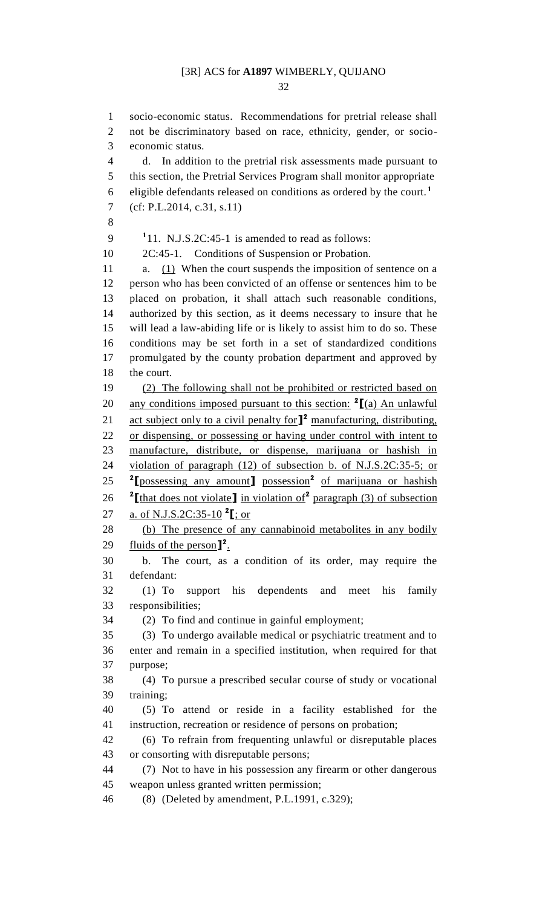socio-economic status. Recommendations for pretrial release shall not be discriminatory based on race, ethnicity, gender, or socio- economic status. d. In addition to the pretrial risk assessments made pursuant to this section, the Pretrial Services Program shall monitor appropriate eligible defendants released on conditions as ordered by the court.**<sup>1</sup>** (cf: P.L.2014, c.31, s.11) . N.J.S.2C:45-1 is amended to read as follows: 2C:45-1. Conditions of Suspension or Probation. a. (1) When the court suspends the imposition of sentence on a person who has been convicted of an offense or sentences him to be placed on probation, it shall attach such reasonable conditions, authorized by this section, as it deems necessary to insure that he will lead a law-abiding life or is likely to assist him to do so. These conditions may be set forth in a set of standardized conditions promulgated by the county probation department and approved by the court. (2) The following shall not be prohibited or restricted based on 20 any conditions imposed pursuant to this section: <sup>2</sup>[(a) An unlawful 21 act subject only to a civil penalty for  $\mathbf{I}^2$  manufacturing, distributing, or dispensing, or possessing or having under control with intent to manufacture, distribute, or dispense, marijuana or hashish in violation of paragraph (12) of subsection b. of N.J.S.2C:35-5; or 25 <sup>2</sup>[possessing any amount] possession<sup>2</sup> of marijuana or hashish 26 <sup>2</sup>[that does not violate] in violation of<sup>2</sup> paragraph (3) of subsection a. of N.J.S.2C:35-10 **<sup>2</sup> [**; or (b) The presence of any cannabinoid metabolites in any bodily 29 fluids of the person<sup>1</sup><sup>2</sup>. b. The court, as a condition of its order, may require the defendant: (1) To support his dependents and meet his family responsibilities; (2) To find and continue in gainful employment; (3) To undergo available medical or psychiatric treatment and to enter and remain in a specified institution, when required for that purpose; (4) To pursue a prescribed secular course of study or vocational training; (5) To attend or reside in a facility established for the instruction, recreation or residence of persons on probation; (6) To refrain from frequenting unlawful or disreputable places or consorting with disreputable persons; (7) Not to have in his possession any firearm or other dangerous weapon unless granted written permission; (8) (Deleted by amendment, P.L.1991, c.329);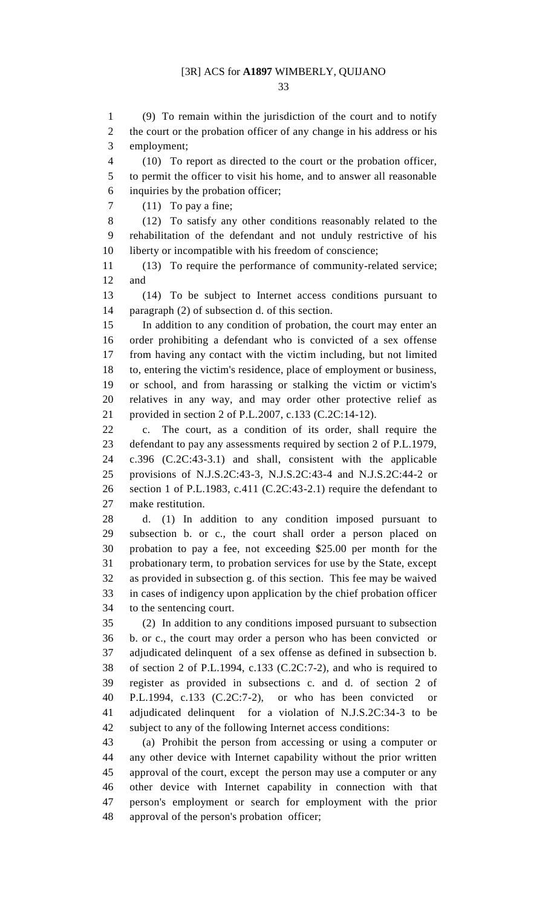(9) To remain within the jurisdiction of the court and to notify the court or the probation officer of any change in his address or his

employment;

 (10) To report as directed to the court or the probation officer, to permit the officer to visit his home, and to answer all reasonable inquiries by the probation officer; 7 (11) To pay a fine; (12) To satisfy any other conditions reasonably related to the rehabilitation of the defendant and not unduly restrictive of his liberty or incompatible with his freedom of conscience; (13) To require the performance of community-related service; and (14) To be subject to Internet access conditions pursuant to paragraph (2) of subsection d. of this section. In addition to any condition of probation, the court may enter an order prohibiting a defendant who is convicted of a sex offense from having any contact with the victim including, but not limited to, entering the victim's residence, place of employment or business, or school, and from harassing or stalking the victim or victim's relatives in any way, and may order other protective relief as provided in section 2 of P.L.2007, c.133 (C.2C:14-12). c. The court, as a condition of its order, shall require the defendant to pay any assessments required by section 2 of P.L.1979, c.396 (C.2C:43-3.1) and shall, consistent with the applicable provisions of N.J.S.2C:43-3, N.J.S.2C:43-4 and N.J.S.2C:44-2 or section 1 of P.L.1983, c.411 (C.2C:43-2.1) require the defendant to make restitution. d. (1) In addition to any condition imposed pursuant to subsection b. or c., the court shall order a person placed on probation to pay a fee, not exceeding \$25.00 per month for the probationary term, to probation services for use by the State, except as provided in subsection g. of this section. This fee may be waived in cases of indigency upon application by the chief probation officer to the sentencing court. (2) In addition to any conditions imposed pursuant to subsection b. or c., the court may order a person who has been convicted or adjudicated delinquent of a sex offense as defined in subsection b. of section 2 of P.L.1994, c.133 (C.2C:7-2), and who is required to register as provided in subsections c. and d. of section 2 of P.L.1994, c.133 (C.2C:7-2), or who has been convicted or adjudicated delinquent for a violation of N.J.S.2C:34-3 to be subject to any of the following Internet access conditions: (a) Prohibit the person from accessing or using a computer or any other device with Internet capability without the prior written approval of the court, except the person may use a computer or any other device with Internet capability in connection with that person's employment or search for employment with the prior approval of the person's probation officer;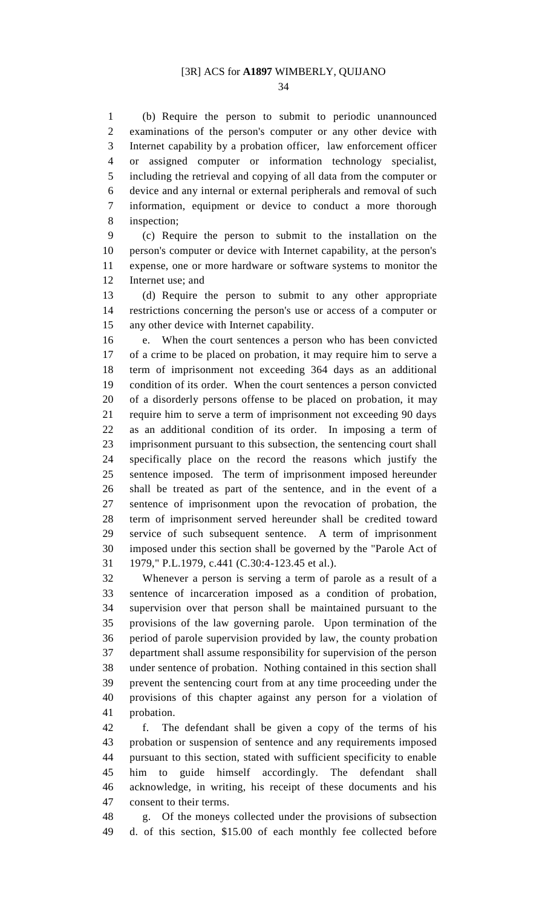(b) Require the person to submit to periodic unannounced examinations of the person's computer or any other device with Internet capability by a probation officer, law enforcement officer or assigned computer or information technology specialist, including the retrieval and copying of all data from the computer or device and any internal or external peripherals and removal of such information, equipment or device to conduct a more thorough inspection;

 (c) Require the person to submit to the installation on the person's computer or device with Internet capability, at the person's expense, one or more hardware or software systems to monitor the Internet use; and

 (d) Require the person to submit to any other appropriate restrictions concerning the person's use or access of a computer or any other device with Internet capability.

 e. When the court sentences a person who has been convicted of a crime to be placed on probation, it may require him to serve a term of imprisonment not exceeding 364 days as an additional condition of its order. When the court sentences a person convicted of a disorderly persons offense to be placed on probation, it may require him to serve a term of imprisonment not exceeding 90 days as an additional condition of its order. In imposing a term of imprisonment pursuant to this subsection, the sentencing court shall specifically place on the record the reasons which justify the sentence imposed. The term of imprisonment imposed hereunder shall be treated as part of the sentence, and in the event of a sentence of imprisonment upon the revocation of probation, the term of imprisonment served hereunder shall be credited toward service of such subsequent sentence. A term of imprisonment imposed under this section shall be governed by the "Parole Act of 1979," P.L.1979, c.441 (C.30:4-123.45 et al.).

 Whenever a person is serving a term of parole as a result of a sentence of incarceration imposed as a condition of probation, supervision over that person shall be maintained pursuant to the provisions of the law governing parole. Upon termination of the period of parole supervision provided by law, the county probation department shall assume responsibility for supervision of the person under sentence of probation. Nothing contained in this section shall prevent the sentencing court from at any time proceeding under the provisions of this chapter against any person for a violation of probation.

 f. The defendant shall be given a copy of the terms of his probation or suspension of sentence and any requirements imposed pursuant to this section, stated with sufficient specificity to enable him to guide himself accordingly. The defendant shall acknowledge, in writing, his receipt of these documents and his consent to their terms.

 g. Of the moneys collected under the provisions of subsection d. of this section, \$15.00 of each monthly fee collected before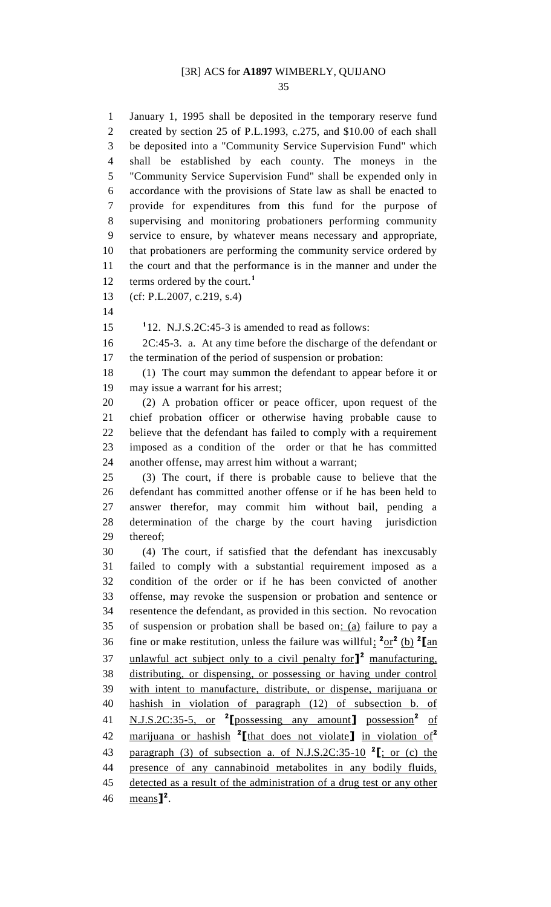January 1, 1995 shall be deposited in the temporary reserve fund created by section 25 of P.L.1993, c.275, and \$10.00 of each shall be deposited into a "Community Service Supervision Fund" which shall be established by each county. The moneys in the "Community Service Supervision Fund" shall be expended only in accordance with the provisions of State law as shall be enacted to provide for expenditures from this fund for the purpose of supervising and monitoring probationers performing community service to ensure, by whatever means necessary and appropriate, that probationers are performing the community service ordered by the court and that the performance is in the manner and under the terms ordered by the court.**<sup>1</sup>** 

- (cf: P.L.2007, c.219, s.4)
- 

15  $12. N.J.S.2C:45-3$  is amended to read as follows:

 2C:45-3. a. At any time before the discharge of the defendant or the termination of the period of suspension or probation:

 (1) The court may summon the defendant to appear before it or may issue a warrant for his arrest;

 (2) A probation officer or peace officer, upon request of the chief probation officer or otherwise having probable cause to believe that the defendant has failed to comply with a requirement imposed as a condition of the order or that he has committed another offense, may arrest him without a warrant;

 (3) The court, if there is probable cause to believe that the defendant has committed another offense or if he has been held to answer therefor, may commit him without bail, pending a determination of the charge by the court having jurisdiction thereof;

 (4) The court, if satisfied that the defendant has inexcusably failed to comply with a substantial requirement imposed as a condition of the order or if he has been convicted of another offense, may revoke the suspension or probation and sentence or resentence the defendant, as provided in this section. No revocation 35 of suspension or probation shall be based on:  $(a)$  failure to pay a 36 fine or make restitution, unless the failure was willful:  ${}^{2}$  or  ${}^{2}$  (b)  ${}^{2}$  [an unlawful act subject only to a civil penalty for**] 2** manufacturing, distributing, or dispensing, or possessing or having under control with intent to manufacture, distribute, or dispense, marijuana or hashish in violation of paragraph (12) of subsection b. of **N.J.S.2C:35-5, or** <sup>2</sup> [possessing any amount ] possession<sup>2</sup> of marijuana or hashish **<sup>2</sup> [**that does not violate**]** in violation of**<sup>2</sup>** paragraph (3) of subsection a. of N.J.S.2C:35-10 **<sup>2</sup> [**; or (c) the presence of any cannabinoid metabolites in any bodily fluids, detected as a result of the administration of a drug test or any other 46 means<sup>1</sup>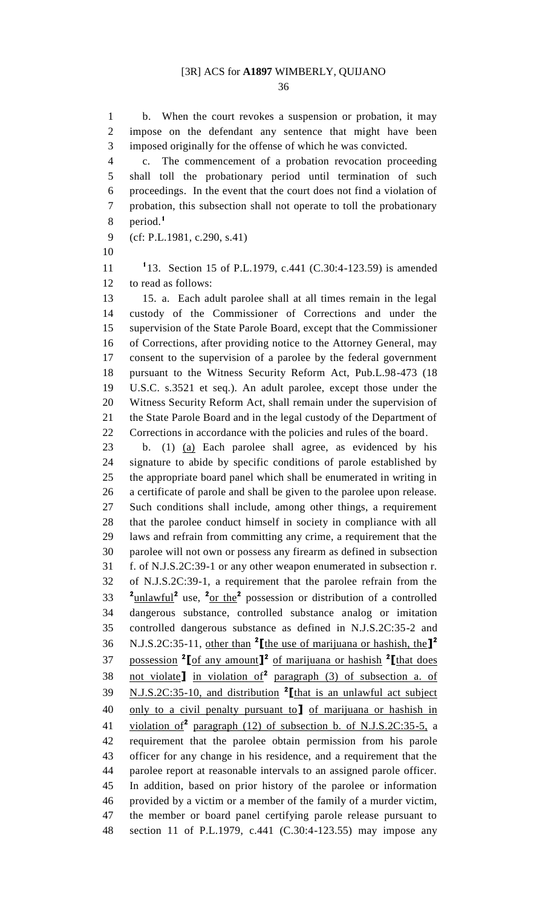b. When the court revokes a suspension or probation, it may impose on the defendant any sentence that might have been imposed originally for the offense of which he was convicted.

 c. The commencement of a probation revocation proceeding shall toll the probationary period until termination of such proceedings. In the event that the court does not find a violation of probation, this subsection shall not operate to toll the probationary period.**<sup>1</sup>** 

(cf: P.L.1981, c.290, s.41)

**1** 13. Section 15 of P.L.1979, c.441 (C.30:4-123.59) is amended to read as follows:

 15. a. Each adult parolee shall at all times remain in the legal custody of the Commissioner of Corrections and under the supervision of the State Parole Board, except that the Commissioner of Corrections, after providing notice to the Attorney General, may consent to the supervision of a parolee by the federal government pursuant to the Witness Security Reform Act, Pub.L.98-473 (18 U.S.C. s.3521 et seq.). An adult parolee, except those under the Witness Security Reform Act, shall remain under the supervision of the State Parole Board and in the legal custody of the Department of Corrections in accordance with the policies and rules of the board.

 b. (1) (a) Each parolee shall agree, as evidenced by his signature to abide by specific conditions of parole established by the appropriate board panel which shall be enumerated in writing in a certificate of parole and shall be given to the parolee upon release. Such conditions shall include, among other things, a requirement that the parolee conduct himself in society in compliance with all laws and refrain from committing any crime, a requirement that the parolee will not own or possess any firearm as defined in subsection f. of N.J.S.2C:39-1 or any other weapon enumerated in subsection r. of N.J.S.2C:39-1, a requirement that the parolee refrain from the  $23 \frac{\text{v} \cdot \text{v}}{\text{v}}$  use,  $2 \text{ or } \text{the}^2$  possession or distribution of a controlled dangerous substance, controlled substance analog or imitation controlled dangerous substance as defined in N.J.S.2C:35-2 and N.J.S.2C:35-11, other than **<sup>2</sup> [**the use of marijuana or hashish, the**] 2** possession **<sup>2</sup> [**of any amount**] 2** of marijuana or hashish **<sup>2</sup> [**that does 38 not violate<sup>]</sup> in violation of<sup>2</sup> paragraph (3) of subsection a. of N.J.S.2C:35-10, and distribution **<sup>2</sup> [**that is an unlawful act subject only to a civil penalty pursuant to**]** of marijuana or hashish in 41 violation of<sup>2</sup> paragraph (12) of subsection b. of N.J.S.2C:35-5, a requirement that the parolee obtain permission from his parole officer for any change in his residence, and a requirement that the parolee report at reasonable intervals to an assigned parole officer. In addition, based on prior history of the parolee or information provided by a victim or a member of the family of a murder victim, the member or board panel certifying parole release pursuant to section 11 of P.L.1979, c.441 (C.30:4-123.55) may impose any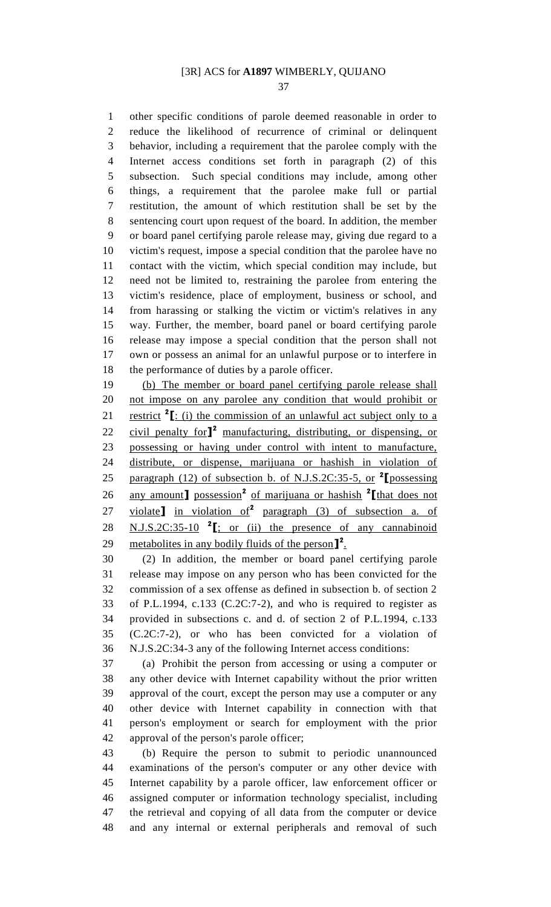other specific conditions of parole deemed reasonable in order to reduce the likelihood of recurrence of criminal or delinquent behavior, including a requirement that the parolee comply with the Internet access conditions set forth in paragraph (2) of this subsection. Such special conditions may include, among other things, a requirement that the parolee make full or partial restitution, the amount of which restitution shall be set by the sentencing court upon request of the board. In addition, the member or board panel certifying parole release may, giving due regard to a victim's request, impose a special condition that the parolee have no contact with the victim, which special condition may include, but need not be limited to, restraining the parolee from entering the victim's residence, place of employment, business or school, and from harassing or stalking the victim or victim's relatives in any way. Further, the member, board panel or board certifying parole release may impose a special condition that the person shall not own or possess an animal for an unlawful purpose or to interfere in the performance of duties by a parole officer.

 (b) The member or board panel certifying parole release shall not impose on any parolee any condition that would prohibit or 21 **restrict**  $^2$ **[**: (i) the commission of an unlawful act subject only to a 22 civil penalty for<sup>1</sup> manufacturing, distributing, or dispensing, or possessing or having under control with intent to manufacture, distribute, or dispense, marijuana or hashish in violation of paragraph (12) of subsection b. of N.J.S.2C:35-5, or **<sup>2</sup> [**possessing 26 any amount**]** possession<sup>2</sup> of marijuana or hashish <sup>2</sup>[that does not 27 violate<sup>]</sup> in violation of<sup>2</sup> paragraph (3) of subsection a. of 28 **N.J.S.2C:35-10** <sup>2</sup>[; or (ii) the presence of any cannabinoid 29 metabolites in any bodily fluids of the person<sup>1</sup><sup>2</sup>.

 (2) In addition, the member or board panel certifying parole release may impose on any person who has been convicted for the commission of a sex offense as defined in subsection b. of section 2 of P.L.1994, c.133 (C.2C:7-2), and who is required to register as provided in subsections c. and d. of section 2 of P.L.1994, c.133 (C.2C:7-2), or who has been convicted for a violation of N.J.S.2C:34-3 any of the following Internet access conditions:

 (a) Prohibit the person from accessing or using a computer or any other device with Internet capability without the prior written approval of the court, except the person may use a computer or any other device with Internet capability in connection with that person's employment or search for employment with the prior approval of the person's parole officer;

 (b) Require the person to submit to periodic unannounced examinations of the person's computer or any other device with Internet capability by a parole officer, law enforcement officer or assigned computer or information technology specialist, including the retrieval and copying of all data from the computer or device and any internal or external peripherals and removal of such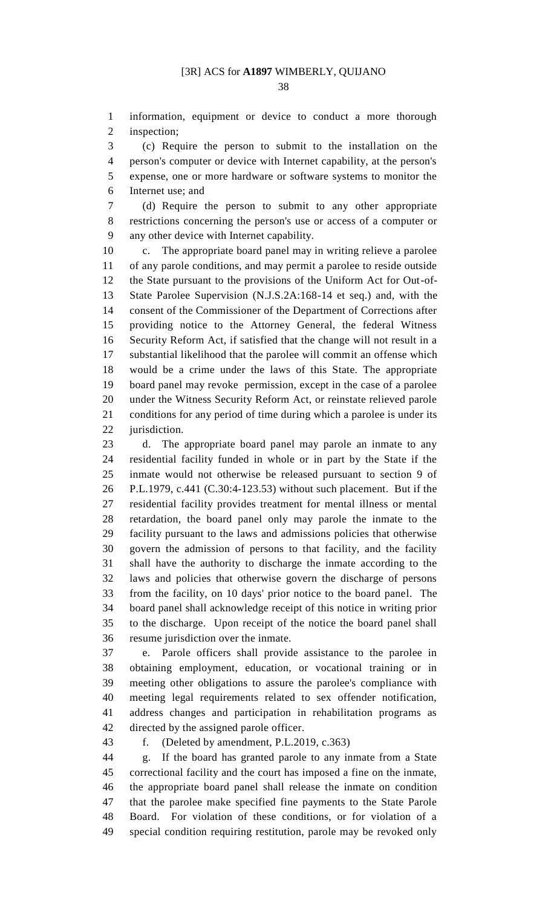information, equipment or device to conduct a more thorough inspection;

 (c) Require the person to submit to the installation on the person's computer or device with Internet capability, at the person's expense, one or more hardware or software systems to monitor the Internet use; and

 (d) Require the person to submit to any other appropriate restrictions concerning the person's use or access of a computer or any other device with Internet capability.

 c. The appropriate board panel may in writing relieve a parolee of any parole conditions, and may permit a parolee to reside outside the State pursuant to the provisions of the Uniform Act for Out-of- State Parolee Supervision (N.J.S.2A:168-14 et seq.) and, with the consent of the Commissioner of the Department of Corrections after providing notice to the Attorney General, the federal Witness Security Reform Act, if satisfied that the change will not result in a substantial likelihood that the parolee will commit an offense which would be a crime under the laws of this State. The appropriate board panel may revoke permission, except in the case of a parolee under the Witness Security Reform Act, or reinstate relieved parole conditions for any period of time during which a parolee is under its 22 jurisdiction.

 d. The appropriate board panel may parole an inmate to any residential facility funded in whole or in part by the State if the inmate would not otherwise be released pursuant to section 9 of P.L.1979, c.441 (C.30:4-123.53) without such placement. But if the residential facility provides treatment for mental illness or mental retardation, the board panel only may parole the inmate to the facility pursuant to the laws and admissions policies that otherwise govern the admission of persons to that facility, and the facility shall have the authority to discharge the inmate according to the laws and policies that otherwise govern the discharge of persons from the facility, on 10 days' prior notice to the board panel. The board panel shall acknowledge receipt of this notice in writing prior to the discharge. Upon receipt of the notice the board panel shall resume jurisdiction over the inmate.

 e. Parole officers shall provide assistance to the parolee in obtaining employment, education, or vocational training or in meeting other obligations to assure the parolee's compliance with meeting legal requirements related to sex offender notification, address changes and participation in rehabilitation programs as directed by the assigned parole officer.

f. (Deleted by amendment, P.L.2019, c.363)

 g. If the board has granted parole to any inmate from a State correctional facility and the court has imposed a fine on the inmate, the appropriate board panel shall release the inmate on condition that the parolee make specified fine payments to the State Parole Board. For violation of these conditions, or for violation of a special condition requiring restitution, parole may be revoked only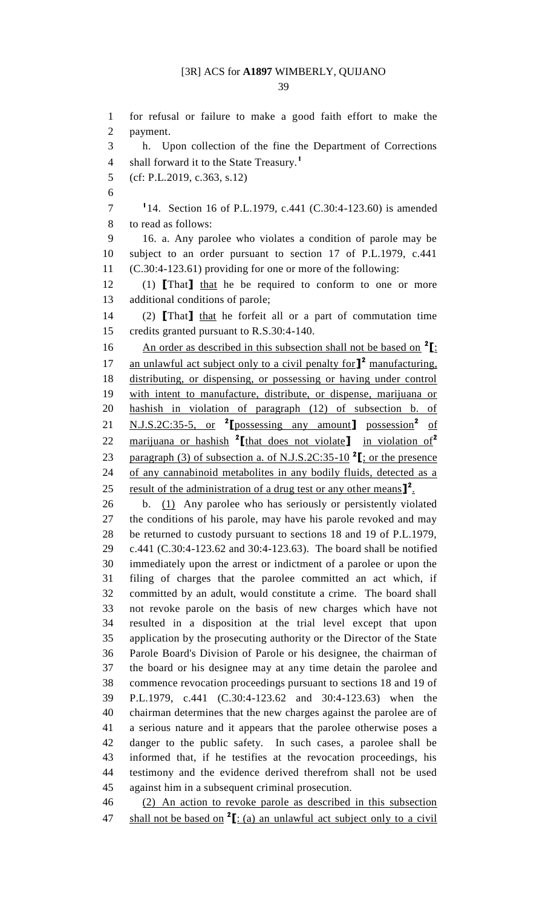for refusal or failure to make a good faith effort to make the payment. h. Upon collection of the fine the Department of Corrections shall forward it to the State Treasury.**<sup>1</sup>** (cf: P.L.2019, c.363, s.12) 14. Section 16 of P.L.1979, c.441 (C.30:4-123.60) is amended to read as follows: 16. a. Any parolee who violates a condition of parole may be subject to an order pursuant to section 17 of P.L.1979, c.441 (C.30:4-123.61) providing for one or more of the following: (1) **[**That**]** that he be required to conform to one or more additional conditions of parole; (2) **[**That**]** that he forfeit all or a part of commutation time credits granted pursuant to R.S.30:4-140. 16 An order as described in this subsection shall not be based on <sup>2</sup>[: 17 an unlawful act subject only to a civil penalty for  $\mathbf{I}^2$  manufacturing, distributing, or dispensing, or possessing or having under control with intent to manufacture, distribute, or dispense, marijuana or hashish in violation of paragraph (12) of subsection b. of 21 N.J.S.2C:35-5, or <sup>2</sup>[possessing any amount] possession<sup>2</sup> of marijuana or hashish **<sup>2</sup> [**that does not violate**]** in violation of**<sup>2</sup>** 23 paragraph (3) of subsection a. of N.J.S.2C:35-10<sup>2</sup>; or the presence of any cannabinoid metabolites in any bodily fluids, detected as a 25 result of the administration of a drug test or any other means  $\mathbf{I}^2$ . b. (1) Any parolee who has seriously or persistently violated the conditions of his parole, may have his parole revoked and may be returned to custody pursuant to sections 18 and 19 of P.L.1979, c.441 (C.30:4-123.62 and 30:4-123.63). The board shall be notified immediately upon the arrest or indictment of a parolee or upon the filing of charges that the parolee committed an act which, if committed by an adult, would constitute a crime. The board shall not revoke parole on the basis of new charges which have not resulted in a disposition at the trial level except that upon application by the prosecuting authority or the Director of the State Parole Board's Division of Parole or his designee, the chairman of the board or his designee may at any time detain the parolee and commence revocation proceedings pursuant to sections 18 and 19 of P.L.1979, c.441 (C.30:4-123.62 and 30:4-123.63) when the chairman determines that the new charges against the parolee are of a serious nature and it appears that the parolee otherwise poses a danger to the public safety. In such cases, a parolee shall be informed that, if he testifies at the revocation proceedings, his testimony and the evidence derived therefrom shall not be used against him in a subsequent criminal prosecution. (2) An action to revoke parole as described in this subsection 47 shall not be based on  $2\text{I}$ : (a) an unlawful act subject only to a civil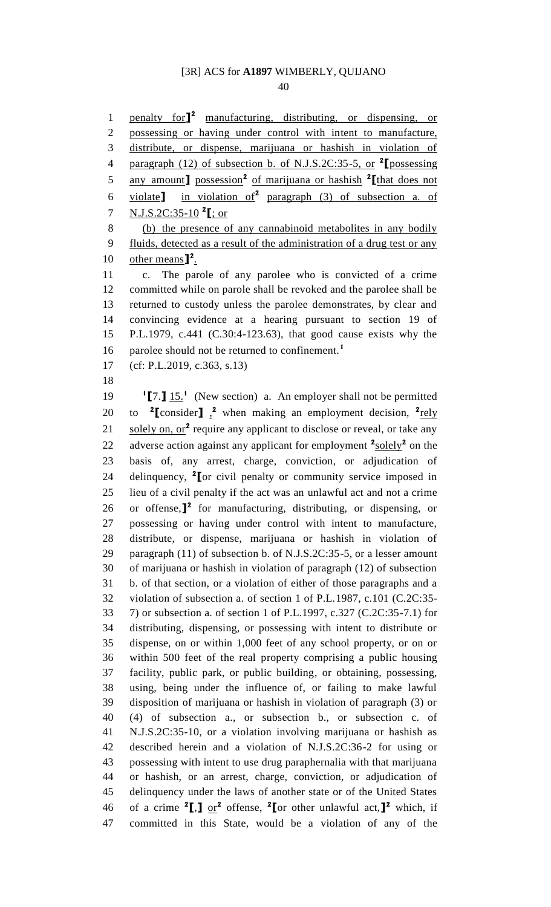1 penalty for<sup>1</sup> manufacturing, distributing, or dispensing, or possessing or having under control with intent to manufacture, distribute, or dispense, marijuana or hashish in violation of

paragraph (12) of subsection b. of N.J.S.2C:35-5, or **<sup>2</sup> [**possessing 5 any amount] possession<sup>2</sup> of marijuana or hashish <sup>2</sup>[that does not violate**]** in violation of**<sup>2</sup>** paragraph (3) of subsection a. of N.J.S.2C:35-10 **<sup>2</sup> [**; or (b) the presence of any cannabinoid metabolites in any bodily fluids, detected as a result of the administration of a drug test or any 10 other means<sup>1</sup><sup>2</sup>. c. The parole of any parolee who is convicted of a crime committed while on parole shall be revoked and the parolee shall be returned to custody unless the parolee demonstrates, by clear and convincing evidence at a hearing pursuant to section 19 of P.L.1979, c.441 (C.30:4-123.63), that good cause exists why the parolee should not be returned to confinement.**<sup>1</sup>** (cf: P.L.2019, c.363, s.13) **[**7.**]** 15.**<sup>1</sup>** (New section) a. An employer shall not be permitted 20 to  ${}^{2}$ **[**consider**]**  $\frac{2}{3}$  when making an employment decision,  ${}^{2}$ <u>rely</u> 21 solely on, or<sup>2</sup> require any applicant to disclose or reveal, or take any 22 adverse action against any applicant for employment <sup>2</sup>solely<sup>2</sup> on the basis of, any arrest, charge, conviction, or adjudication of 24 delinquency, <sup>2</sup> [or civil penalty or community service imposed in lieu of a civil penalty if the act was an unlawful act and not a crime 26 or offense, $\mathbf{J}^2$  for manufacturing, distributing, or dispensing, or possessing or having under control with intent to manufacture, distribute, or dispense, marijuana or hashish in violation of paragraph (11) of subsection b. of N.J.S.2C:35-5, or a lesser amount of marijuana or hashish in violation of paragraph (12) of subsection b. of that section, or a violation of either of those paragraphs and a violation of subsection a. of section 1 of P.L.1987, c.101 (C.2C:35- 7) or subsection a. of section 1 of P.L.1997, c.327 (C.2C:35-7.1) for distributing, dispensing, or possessing with intent to distribute or dispense, on or within 1,000 feet of any school property, or on or within 500 feet of the real property comprising a public housing facility, public park, or public building, or obtaining, possessing, using, being under the influence of, or failing to make lawful disposition of marijuana or hashish in violation of paragraph (3) or (4) of subsection a., or subsection b., or subsection c. of N.J.S.2C:35-10, or a violation involving marijuana or hashish as described herein and a violation of N.J.S.2C:36-2 for using or possessing with intent to use drug paraphernalia with that marijuana or hashish, or an arrest, charge, conviction, or adjudication of delinquency under the laws of another state or of the United States

46 of a crime  ${}^{2}$ [,] or  ${}^{2}$  offense,  ${}^{2}$ [or other unlawful act,]<sup>2</sup> which, if committed in this State, would be a violation of any of the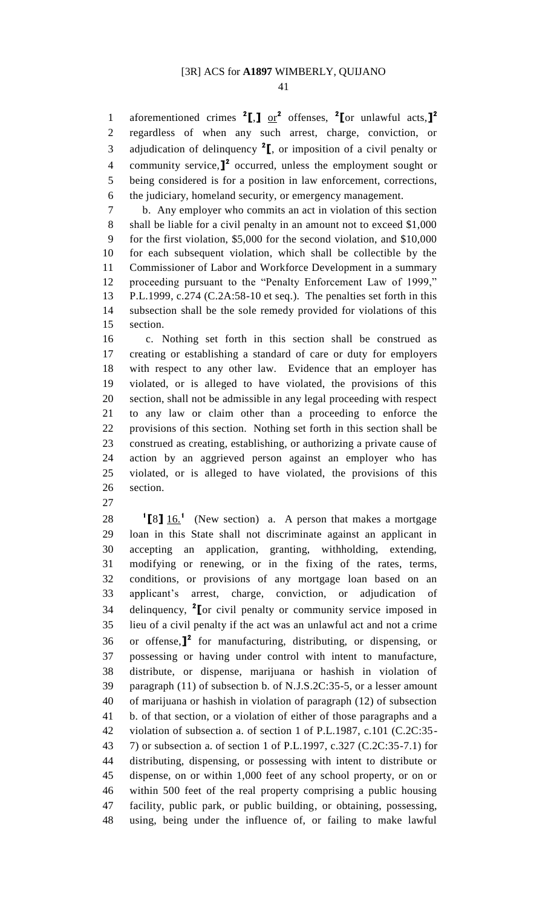aforementioned crimes  ${}^{2}$ [,] or affenses,  ${}^{2}$ [or unlawful acts,]<sup>2</sup> regardless of when any such arrest, charge, conviction, or adjudication of delinquency **<sup>2</sup> [**, or imposition of a civil penalty or 4 community service,<sup>1</sup><sup>2</sup> occurred, unless the employment sought or being considered is for a position in law enforcement, corrections, the judiciary, homeland security, or emergency management.

 b. Any employer who commits an act in violation of this section shall be liable for a civil penalty in an amount not to exceed \$1,000 for the first violation, \$5,000 for the second violation, and \$10,000 for each subsequent violation, which shall be collectible by the Commissioner of Labor and Workforce Development in a summary proceeding pursuant to the "Penalty Enforcement Law of 1999," P.L.1999, c.274 (C.2A:58-10 et seq.). The penalties set forth in this subsection shall be the sole remedy provided for violations of this section.

 c. Nothing set forth in this section shall be construed as creating or establishing a standard of care or duty for employers with respect to any other law. Evidence that an employer has violated, or is alleged to have violated, the provisions of this section, shall not be admissible in any legal proceeding with respect to any law or claim other than a proceeding to enforce the provisions of this section. Nothing set forth in this section shall be construed as creating, establishing, or authorizing a private cause of action by an aggrieved person against an employer who has violated, or is alleged to have violated, the provisions of this section.

 **[**8**]** 16.**<sup>1</sup>** (New section) a. A person that makes a mortgage loan in this State shall not discriminate against an applicant in accepting an application, granting, withholding, extending, modifying or renewing, or in the fixing of the rates, terms, conditions, or provisions of any mortgage loan based on an applicant's arrest, charge, conviction, or adjudication of delinquency, **<sup>2</sup> [**or civil penalty or community service imposed in lieu of a civil penalty if the act was an unlawful act and not a crime 36 or offense, $\mathbf{I}^2$  for manufacturing, distributing, or dispensing, or possessing or having under control with intent to manufacture, distribute, or dispense, marijuana or hashish in violation of paragraph (11) of subsection b. of N.J.S.2C:35-5, or a lesser amount of marijuana or hashish in violation of paragraph (12) of subsection b. of that section, or a violation of either of those paragraphs and a violation of subsection a. of section 1 of P.L.1987, c.101 (C.2C:35- 7) or subsection a. of section 1 of P.L.1997, c.327 (C.2C:35-7.1) for distributing, dispensing, or possessing with intent to distribute or dispense, on or within 1,000 feet of any school property, or on or within 500 feet of the real property comprising a public housing facility, public park, or public building, or obtaining, possessing, using, being under the influence of, or failing to make lawful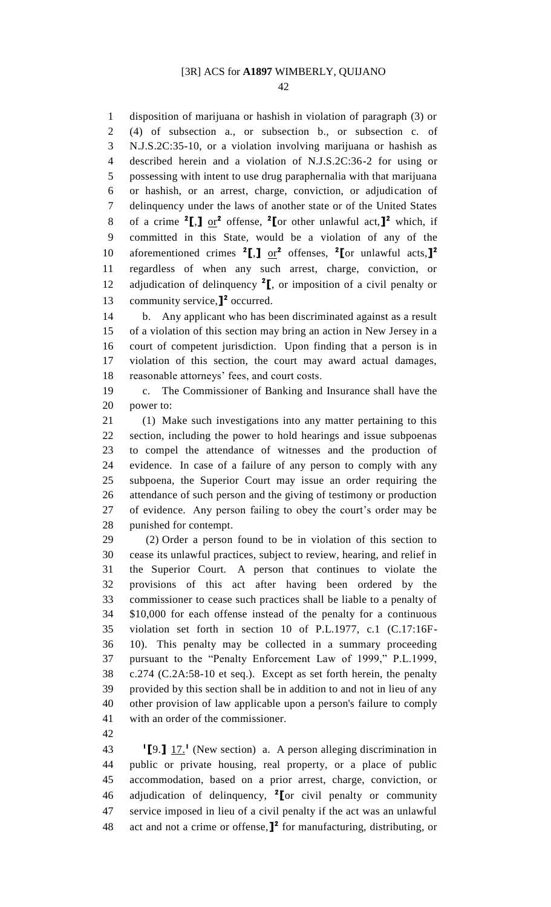disposition of marijuana or hashish in violation of paragraph (3) or (4) of subsection a., or subsection b., or subsection c. of N.J.S.2C:35-10, or a violation involving marijuana or hashish as described herein and a violation of N.J.S.2C:36-2 for using or possessing with intent to use drug paraphernalia with that marijuana or hashish, or an arrest, charge, conviction, or adjudication of delinquency under the laws of another state or of the United States 8 of a crime  $2[\cdot, \cdot]$  or offense,  $2[\cdot]$  or other unlawful act,  $]^2$  which, if committed in this State, would be a violation of any of the aforementioned crimes  ${}^{2}$ [,] or affenses,  ${}^{2}$ [or unlawful acts,]<sup>2</sup> regardless of when any such arrest, charge, conviction, or 12 adjudication of delinquency  $2\text{I}$ , or imposition of a civil penalty or 13 community service,<sup>1</sup><sup>2</sup> occurred.

 b. Any applicant who has been discriminated against as a result of a violation of this section may bring an action in New Jersey in a court of competent jurisdiction. Upon finding that a person is in violation of this section, the court may award actual damages, reasonable attorneys' fees, and court costs.

 c. The Commissioner of Banking and Insurance shall have the power to:

 (1) Make such investigations into any matter pertaining to this section, including the power to hold hearings and issue subpoenas to compel the attendance of witnesses and the production of evidence. In case of a failure of any person to comply with any subpoena, the Superior Court may issue an order requiring the attendance of such person and the giving of testimony or production of evidence. Any person failing to obey the court's order may be punished for contempt.

 (2) Order a person found to be in violation of this section to cease its unlawful practices, subject to review, hearing, and relief in the Superior Court. A person that continues to violate the provisions of this act after having been ordered by the commissioner to cease such practices shall be liable to a penalty of \$10,000 for each offense instead of the penalty for a continuous violation set forth in section 10 of P.L.1977, c.1 (C.17:16F- 10). This penalty may be collected in a summary proceeding pursuant to the "Penalty Enforcement Law of 1999," P.L.1999, c.274 (C.2A:58-10 et seq.). Except as set forth herein, the penalty provided by this section shall be in addition to and not in lieu of any other provision of law applicable upon a person's failure to comply with an order of the commissioner.

 **[**9.**]** 17. **1** (New section) a. A person alleging discrimination in public or private housing, real property, or a place of public accommodation, based on a prior arrest, charge, conviction, or adjudication of delinquency, **<sup>2</sup> [**or civil penalty or community service imposed in lieu of a civil penalty if the act was an unlawful 48 act and not a crime or offense,  $\mathbf{I}^2$  for manufacturing, distributing, or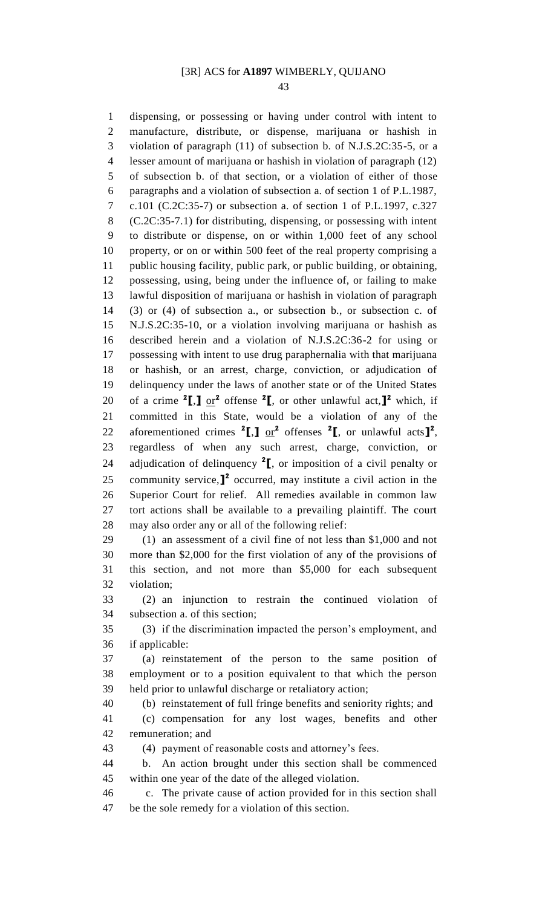dispensing, or possessing or having under control with intent to manufacture, distribute, or dispense, marijuana or hashish in violation of paragraph (11) of subsection b. of N.J.S.2C:35-5, or a lesser amount of marijuana or hashish in violation of paragraph (12) of subsection b. of that section, or a violation of either of those paragraphs and a violation of subsection a. of section 1 of P.L.1987, c.101 (C.2C:35-7) or subsection a. of section 1 of P.L.1997, c.327 (C.2C:35-7.1) for distributing, dispensing, or possessing with intent to distribute or dispense, on or within 1,000 feet of any school property, or on or within 500 feet of the real property comprising a public housing facility, public park, or public building, or obtaining, possessing, using, being under the influence of, or failing to make lawful disposition of marijuana or hashish in violation of paragraph (3) or (4) of subsection a., or subsection b., or subsection c. of N.J.S.2C:35-10, or a violation involving marijuana or hashish as described herein and a violation of N.J.S.2C:36-2 for using or possessing with intent to use drug paraphernalia with that marijuana or hashish, or an arrest, charge, conviction, or adjudication of delinquency under the laws of another state or of the United States 20 of a crime  ${}^{2}$ [,] or  ${}^{2}$  offense  ${}^{2}$ [, or other unlawful act,]<sup>2</sup> which, if committed in this State, would be a violation of any of the 22 aforementioned crimes  ${}^{2}$ [,] <u>or</u><sup>2</sup> offenses  ${}^{2}$ [, or unlawful acts]<sup>2</sup>, regardless of when any such arrest, charge, conviction, or 24 adjudication of delinquency  $2\mathbf{I}$ , or imposition of a civil penalty or 25 community service,  $\mathbf{I}^2$  occurred, may institute a civil action in the Superior Court for relief. All remedies available in common law tort actions shall be available to a prevailing plaintiff. The court may also order any or all of the following relief: (1) an assessment of a civil fine of not less than \$1,000 and not more than \$2,000 for the first violation of any of the provisions of this section, and not more than \$5,000 for each subsequent violation; (2) an injunction to restrain the continued violation of subsection a. of this section; (3) if the discrimination impacted the person's employment, and if applicable: (a) reinstatement of the person to the same position of employment or to a position equivalent to that which the person held prior to unlawful discharge or retaliatory action; (b) reinstatement of full fringe benefits and seniority rights; and (c) compensation for any lost wages, benefits and other

remuneration; and

(4) payment of reasonable costs and attorney's fees.

 b. An action brought under this section shall be commenced within one year of the date of the alleged violation.

 c. The private cause of action provided for in this section shall be the sole remedy for a violation of this section.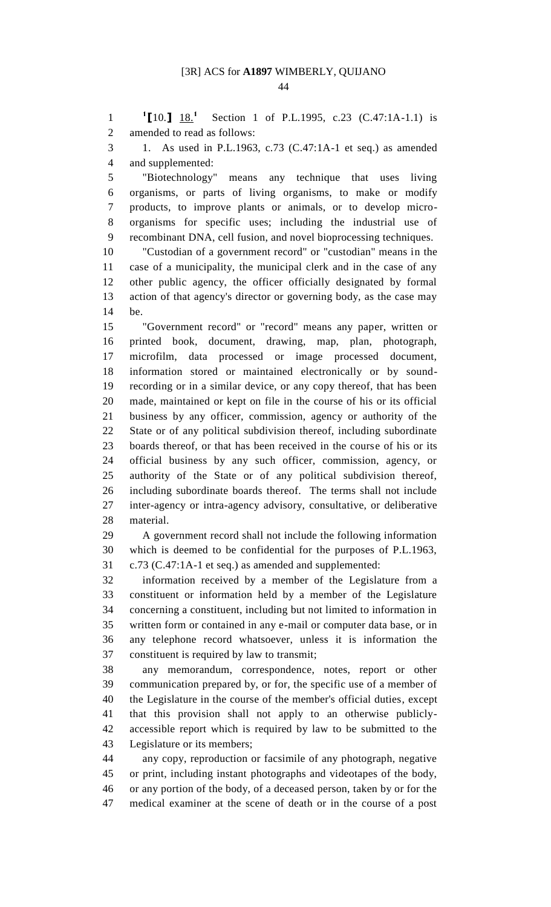$^{1}$ **[**10.**]**  $\frac{18.}{1}$ 1  $\text{I}[10.]\ \text{I}\ \text{I}\ \text{I}$  Section 1 of P.L.1995, c.23 (C.47:1A-1.1) is amended to read as follows:

 1. As used in P.L.1963, c.73 (C.47:1A-1 et seq.) as amended and supplemented:

 "Biotechnology" means any technique that uses living organisms, or parts of living organisms, to make or modify products, to improve plants or animals, or to develop micro- organisms for specific uses; including the industrial use of recombinant DNA, cell fusion, and novel bioprocessing techniques.

 "Custodian of a government record" or "custodian" means in the case of a municipality, the municipal clerk and in the case of any other public agency, the officer officially designated by formal action of that agency's director or governing body, as the case may be.

 "Government record" or "record" means any paper, written or printed book, document, drawing, map, plan, photograph, microfilm, data processed or image processed document, information stored or maintained electronically or by sound- recording or in a similar device, or any copy thereof, that has been made, maintained or kept on file in the course of his or its official business by any officer, commission, agency or authority of the State or of any political subdivision thereof, including subordinate boards thereof, or that has been received in the course of his or its official business by any such officer, commission, agency, or authority of the State or of any political subdivision thereof, including subordinate boards thereof. The terms shall not include inter-agency or intra-agency advisory, consultative, or deliberative material.

 A government record shall not include the following information which is deemed to be confidential for the purposes of P.L.1963, c.73 (C.47:1A-1 et seq.) as amended and supplemented:

 information received by a member of the Legislature from a constituent or information held by a member of the Legislature concerning a constituent, including but not limited to information in written form or contained in any e-mail or computer data base, or in any telephone record whatsoever, unless it is information the constituent is required by law to transmit;

 any memorandum, correspondence, notes, report or other communication prepared by, or for, the specific use of a member of the Legislature in the course of the member's official duties, except that this provision shall not apply to an otherwise publicly- accessible report which is required by law to be submitted to the Legislature or its members;

 any copy, reproduction or facsimile of any photograph, negative or print, including instant photographs and videotapes of the body, or any portion of the body, of a deceased person, taken by or for the medical examiner at the scene of death or in the course of a post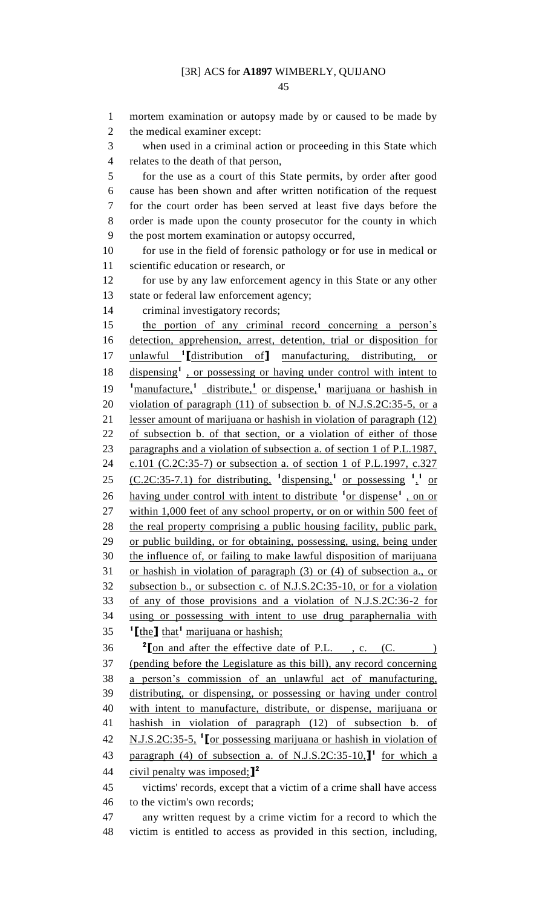mortem examination or autopsy made by or caused to be made by the medical examiner except: when used in a criminal action or proceeding in this State which relates to the death of that person, for the use as a court of this State permits, by order after good cause has been shown and after written notification of the request for the court order has been served at least five days before the order is made upon the county prosecutor for the county in which the post mortem examination or autopsy occurred, 10 for use in the field of forensic pathology or for use in medical or scientific education or research, or 12 for use by any law enforcement agency in this State or any other state or federal law enforcement agency; criminal investigatory records; the portion of any criminal record concerning a person's detection, apprehension, arrest, detention, trial or disposition for unlawful **<sup>1</sup> [**distribution of**]** manufacturing, distributing, or 18 dispensing<sup>1</sup>, or possessing or having under control with intent to 19 <sup>1</sup> manufacture,<sup>1</sup> distribute,<sup>1</sup> or dispense,<sup>1</sup> marijuana or hashish in 20 violation of paragraph (11) of subsection b. of N.J.S.2C:35-5, or a lesser amount of marijuana or hashish in violation of paragraph (12) of subsection b. of that section, or a violation of either of those paragraphs and a violation of subsection a. of section 1 of P.L.1987, c.101 (C.2C:35-7) or subsection a. of section 1 of P.L.1997, c.327 25 (C.2C:35-7.1) for distributing,  $\frac{1}{2}$  dispensing,  $\frac{1}{2}$  or possessing  $\frac{1}{2}$  or 26 having under control with intent to distribute <sup>1</sup> or dispense<sup>1</sup>, on or within 1,000 feet of any school property, or on or within 500 feet of the real property comprising a public housing facility, public park, or public building, or for obtaining, possessing, using, being under the influence of, or failing to make lawful disposition of marijuana or hashish in violation of paragraph (3) or (4) of subsection a., or subsection b., or subsection c. of N.J.S.2C:35-10, or for a violation of any of those provisions and a violation of N.J.S.2C:36-2 for using or possessing with intent to use drug paraphernalia with (the lthat<sup>1</sup> marijuana or hashish;  $2\text{S}$   $\text{S}$   $\text{S}$   $\text{S}$  and after the effective date of P.L. , c. (C. ) (pending before the Legislature as this bill), any record concerning a person's commission of an unlawful act of manufacturing, distributing, or dispensing, or possessing or having under control with intent to manufacture, distribute, or dispense, marijuana or hashish in violation of paragraph (12) of subsection b. of **N.J.S.2C:35-5, <sup>1</sup>** [or possessing marijuana or hashish in violation of 43 paragraph (4) of subsection a. of N.J.S.2C:35-10.<sup>1</sup> for which a civil penalty was imposed;**] 2** victims' records, except that a victim of a crime shall have access to the victim's own records; any written request by a crime victim for a record to which the

victim is entitled to access as provided in this section, including,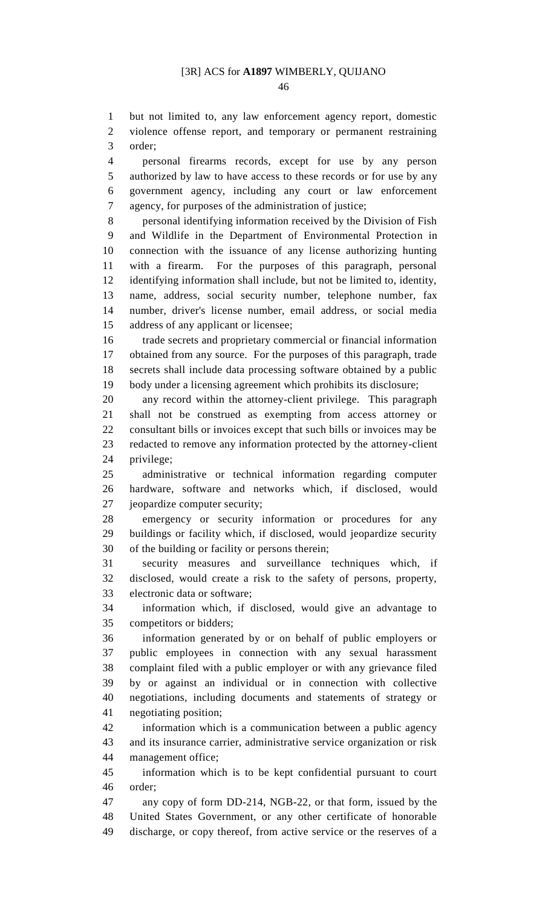but not limited to, any law enforcement agency report, domestic violence offense report, and temporary or permanent restraining order;

 personal firearms records, except for use by any person authorized by law to have access to these records or for use by any government agency, including any court or law enforcement agency, for purposes of the administration of justice;

 personal identifying information received by the Division of Fish and Wildlife in the Department of Environmental Protection in connection with the issuance of any license authorizing hunting with a firearm. For the purposes of this paragraph, personal identifying information shall include, but not be limited to, identity, name, address, social security number, telephone number, fax number, driver's license number, email address, or social media address of any applicant or licensee;

 trade secrets and proprietary commercial or financial information obtained from any source. For the purposes of this paragraph, trade secrets shall include data processing software obtained by a public body under a licensing agreement which prohibits its disclosure;

 any record within the attorney-client privilege. This paragraph shall not be construed as exempting from access attorney or consultant bills or invoices except that such bills or invoices may be redacted to remove any information protected by the attorney-client privilege;

 administrative or technical information regarding computer hardware, software and networks which, if disclosed, would jeopardize computer security;

 emergency or security information or procedures for any buildings or facility which, if disclosed, would jeopardize security of the building or facility or persons therein;

 security measures and surveillance techniques which, if disclosed, would create a risk to the safety of persons, property, electronic data or software;

 information which, if disclosed, would give an advantage to competitors or bidders;

 information generated by or on behalf of public employers or public employees in connection with any sexual harassment complaint filed with a public employer or with any grievance filed by or against an individual or in connection with collective negotiations, including documents and statements of strategy or negotiating position;

 information which is a communication between a public agency and its insurance carrier, administrative service organization or risk management office;

 information which is to be kept confidential pursuant to court order;

 any copy of form DD-214, NGB-22, or that form, issued by the United States Government, or any other certificate of honorable discharge, or copy thereof, from active service or the reserves of a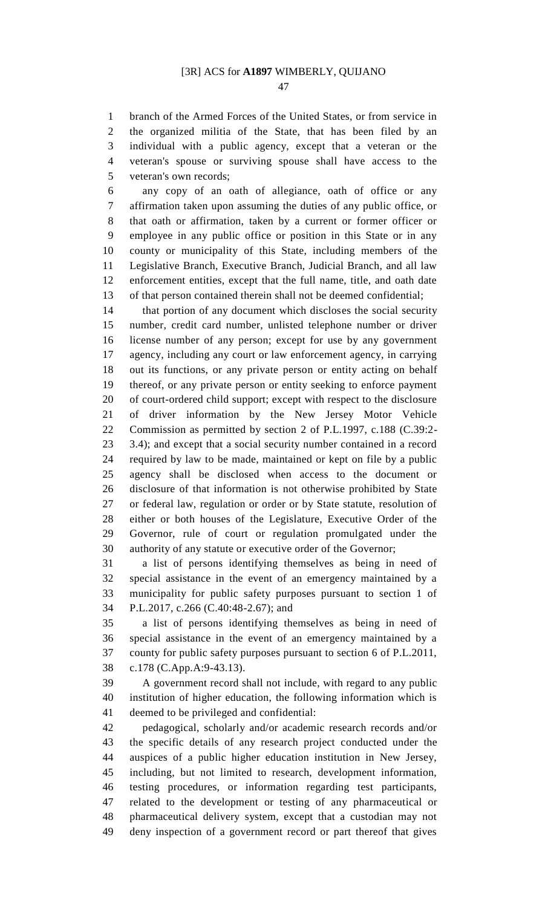branch of the Armed Forces of the United States, or from service in the organized militia of the State, that has been filed by an individual with a public agency, except that a veteran or the veteran's spouse or surviving spouse shall have access to the veteran's own records;

 any copy of an oath of allegiance, oath of office or any affirmation taken upon assuming the duties of any public office, or that oath or affirmation, taken by a current or former officer or employee in any public office or position in this State or in any county or municipality of this State, including members of the Legislative Branch, Executive Branch, Judicial Branch, and all law enforcement entities, except that the full name, title, and oath date of that person contained therein shall not be deemed confidential;

 that portion of any document which discloses the social security number, credit card number, unlisted telephone number or driver license number of any person; except for use by any government agency, including any court or law enforcement agency, in carrying out its functions, or any private person or entity acting on behalf thereof, or any private person or entity seeking to enforce payment of court-ordered child support; except with respect to the disclosure of driver information by the New Jersey Motor Vehicle Commission as permitted by section 2 of P.L.1997, c.188 (C.39:2- 3.4); and except that a social security number contained in a record required by law to be made, maintained or kept on file by a public agency shall be disclosed when access to the document or disclosure of that information is not otherwise prohibited by State or federal law, regulation or order or by State statute, resolution of either or both houses of the Legislature, Executive Order of the Governor, rule of court or regulation promulgated under the authority of any statute or executive order of the Governor;

 a list of persons identifying themselves as being in need of special assistance in the event of an emergency maintained by a municipality for public safety purposes pursuant to section 1 of P.L.2017, c.266 (C.40:48-2.67); and

 a list of persons identifying themselves as being in need of special assistance in the event of an emergency maintained by a county for public safety purposes pursuant to section 6 of P.L.2011, c.178 (C.App.A:9-43.13).

 A government record shall not include, with regard to any public institution of higher education, the following information which is deemed to be privileged and confidential:

 pedagogical, scholarly and/or academic research records and/or the specific details of any research project conducted under the auspices of a public higher education institution in New Jersey, including, but not limited to research, development information, testing procedures, or information regarding test participants, related to the development or testing of any pharmaceutical or pharmaceutical delivery system, except that a custodian may not deny inspection of a government record or part thereof that gives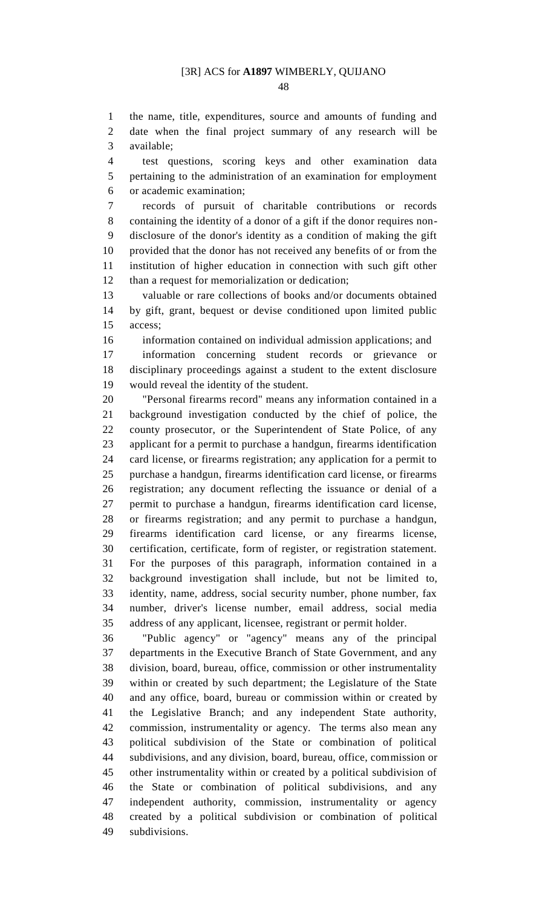the name, title, expenditures, source and amounts of funding and date when the final project summary of any research will be available;

 test questions, scoring keys and other examination data pertaining to the administration of an examination for employment or academic examination;

 records of pursuit of charitable contributions or records containing the identity of a donor of a gift if the donor requires non- disclosure of the donor's identity as a condition of making the gift provided that the donor has not received any benefits of or from the institution of higher education in connection with such gift other than a request for memorialization or dedication;

 valuable or rare collections of books and/or documents obtained by gift, grant, bequest or devise conditioned upon limited public access;

information contained on individual admission applications; and

 information concerning student records or grievance or disciplinary proceedings against a student to the extent disclosure would reveal the identity of the student.

 "Personal firearms record" means any information contained in a background investigation conducted by the chief of police, the county prosecutor, or the Superintendent of State Police, of any applicant for a permit to purchase a handgun, firearms identification card license, or firearms registration; any application for a permit to purchase a handgun, firearms identification card license, or firearms registration; any document reflecting the issuance or denial of a permit to purchase a handgun, firearms identification card license, or firearms registration; and any permit to purchase a handgun, firearms identification card license, or any firearms license, certification, certificate, form of register, or registration statement. For the purposes of this paragraph, information contained in a background investigation shall include, but not be limited to, identity, name, address, social security number, phone number, fax number, driver's license number, email address, social media address of any applicant, licensee, registrant or permit holder.

 "Public agency" or "agency" means any of the principal departments in the Executive Branch of State Government, and any division, board, bureau, office, commission or other instrumentality within or created by such department; the Legislature of the State and any office, board, bureau or commission within or created by the Legislative Branch; and any independent State authority, commission, instrumentality or agency. The terms also mean any political subdivision of the State or combination of political subdivisions, and any division, board, bureau, office, commission or other instrumentality within or created by a political subdivision of the State or combination of political subdivisions, and any independent authority, commission, instrumentality or agency created by a political subdivision or combination of political subdivisions.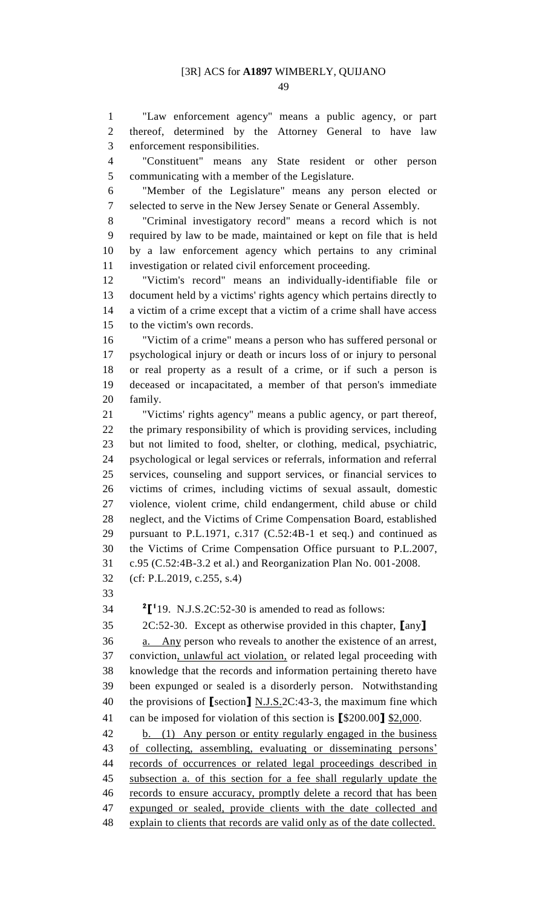"Law enforcement agency" means a public agency, or part thereof, determined by the Attorney General to have law enforcement responsibilities.

 "Constituent" means any State resident or other person communicating with a member of the Legislature.

 "Member of the Legislature" means any person elected or selected to serve in the New Jersey Senate or General Assembly.

 "Criminal investigatory record" means a record which is not required by law to be made, maintained or kept on file that is held by a law enforcement agency which pertains to any criminal investigation or related civil enforcement proceeding.

 "Victim's record" means an individually-identifiable file or document held by a victims' rights agency which pertains directly to a victim of a crime except that a victim of a crime shall have access to the victim's own records.

 "Victim of a crime" means a person who has suffered personal or psychological injury or death or incurs loss of or injury to personal or real property as a result of a crime, or if such a person is deceased or incapacitated, a member of that person's immediate family.

 "Victims' rights agency" means a public agency, or part thereof, the primary responsibility of which is providing services, including but not limited to food, shelter, or clothing, medical, psychiatric, psychological or legal services or referrals, information and referral services, counseling and support services, or financial services to victims of crimes, including victims of sexual assault, domestic violence, violent crime, child endangerment, child abuse or child neglect, and the Victims of Crime Compensation Board, established pursuant to P.L.1971, c.317 (C.52:4B-1 et seq.) and continued as the Victims of Crime Compensation Office pursuant to P.L.2007, c.95 (C.52:4B-3.2 et al.) and Reorganization Plan No. 001-2008.

(cf: P.L.2019, c.255, s.4)

 $\text{2}^2$   $\text{1}^1$  19. N.J.S.2C:52-30 is amended to read as follows:

 2C:52-30. Except as otherwise provided in this chapter, **[**any**]** a. Any person who reveals to another the existence of an arrest, conviction, unlawful act violation, or related legal proceeding with knowledge that the records and information pertaining thereto have been expunged or sealed is a disorderly person. Notwithstanding the provisions of **[**section**]** N.J.S.2C:43-3, the maximum fine which can be imposed for violation of this section is **[**\$200.00**]** \$2,000.

42 b. (1) Any person or entity regularly engaged in the business of collecting, assembling, evaluating or disseminating persons' records of occurrences or related legal proceedings described in subsection a. of this section for a fee shall regularly update the records to ensure accuracy, promptly delete a record that has been expunged or sealed, provide clients with the date collected and 48 explain to clients that records are valid only as of the date collected.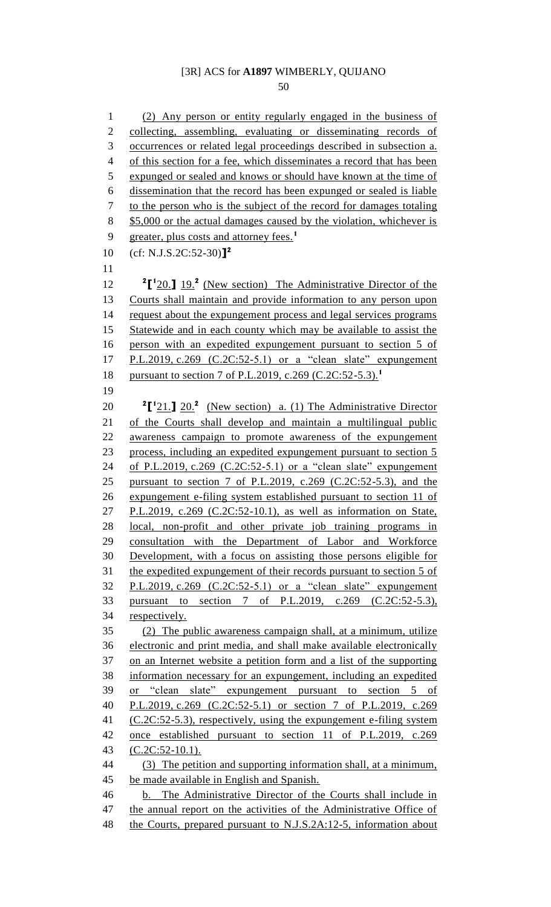(2) Any person or entity regularly engaged in the business of collecting, assembling, evaluating or disseminating records of occurrences or related legal proceedings described in subsection a. of this section for a fee, which disseminates a record that has been expunged or sealed and knows or should have known at the time of dissemination that the record has been expunged or sealed is liable to the person who is the subject of the record for damages totaling 8 \$5,000 or the actual damages caused by the violation, whichever is greater, plus costs and attorney fees.**<sup>1</sup>** (cf: N.J.S.2C:52-30)**] 2 [ 1** 20.**]** 19. **2** (New section) The Administrative Director of the Courts shall maintain and provide information to any person upon 14 request about the expungement process and legal services programs 15 Statewide and in each county which may be available to assist the person with an expedited expungement pursuant to section 5 of P.L.2019, c.269 (C.2C:52-5.1) or a "clean slate" expungement pursuant to section 7 of P.L.2019, c.269 (C.2C:52-5.3).**<sup>1</sup>**  ${}^{2}$  $[$ <sup>1</sup> $21$  $]$  $20$ <sup> $2$ </sup> (New section) a. (1) The Administrative Director of the Courts shall develop and maintain a multilingual public awareness campaign to promote awareness of the expungement process, including an expedited expungement pursuant to section 5 24 of P.L.2019, c.269 (C.2C:52-5.1) or a "clean slate" expungement pursuant to section 7 of P.L.2019, c.269 (C.2C:52-5.3), and the expungement e-filing system established pursuant to section 11 of P.L.2019, c.269 (C.2C:52-10.1), as well as information on State, local, non-profit and other private job training programs in consultation with the Department of Labor and Workforce Development, with a focus on assisting those persons eligible for the expedited expungement of their records pursuant to section 5 of P.L.2019, c.269 (C.2C:52-5.1) or a "clean slate" expungement pursuant to section 7 of P.L.2019, c.269 (C.2C:52-5.3), respectively. (2) The public awareness campaign shall, at a minimum, utilize electronic and print media, and shall make available electronically on an Internet website a petition form and a list of the supporting information necessary for an expungement, including an expedited or "clean slate" expungement pursuant to section 5 of P.L.2019, c.269 (C.2C:52-5.1) or section 7 of P.L.2019, c.269 41 (C.2C:52-5.3), respectively, using the expungement e-filing system 42 once established pursuant to section 11 of P.L.2019, c.269 (C.2C:52-10.1). (3) The petition and supporting information shall, at a minimum, be made available in English and Spanish. b. The Administrative Director of the Courts shall include in 47 the annual report on the activities of the Administrative Office of

the Courts, prepared pursuant to N.J.S.2A:12-5, information about